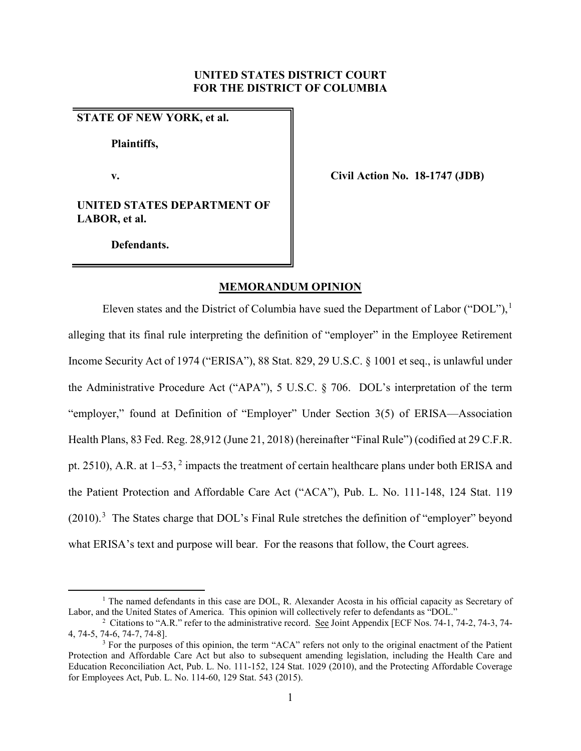### **UNITED STATES DISTRICT COURT FOR THE DISTRICT OF COLUMBIA**

## **STATE OF NEW YORK, et al.**

**Plaintiffs,**

**v. Civil Action No. 18-1747 (JDB)**

**UNITED STATES DEPARTMENT OF LABOR, et al.**

 **Defendants.**

### **MEMORANDUM OPINION**

Eleven states and the District of Columbia have sued the Department of Labor ("DOL"),<sup>[1](#page-0-0)</sup> alleging that its final rule interpreting the definition of "employer" in the Employee Retirement Income Security Act of 1974 ("ERISA"), 88 Stat. 829, 29 U.S.C. § 1001 et seq., is unlawful under the Administrative Procedure Act ("APA"), 5 U.S.C. § 706. DOL's interpretation of the term "employer," found at Definition of "Employer" Under Section 3(5) of ERISA—Association Health Plans, 83 Fed. Reg. 28,912 (June 21, 2018) (hereinafter "Final Rule") (codified at 29 C.F.R. pt. [2](#page-0-1)510), A.R. at 1–53, <sup>2</sup> impacts the treatment of certain healthcare plans under both ERISA and the Patient Protection and Affordable Care Act ("ACA"), Pub. L. No. 111-148, 124 Stat. 119  $(2010).$ <sup>[3](#page-0-2)</sup> The States charge that DOL's Final Rule stretches the definition of "employer" beyond what ERISA's text and purpose will bear. For the reasons that follow, the Court agrees.

<span id="page-0-0"></span> $1$  The named defendants in this case are DOL, R. Alexander Acosta in his official capacity as Secretary of Labor, and the United States of America. This opinion will collectively refer to defendants as "DOL." 2

<span id="page-0-1"></span><sup>&</sup>lt;sup>2</sup> Citations to "A.R." refer to the administrative record. See Joint Appendix [ECF Nos. 74-1, 74-2, 74-3, 74-4, 74-5, 74-6, 74-7, 74-8].

<span id="page-0-2"></span><sup>&</sup>lt;sup>3</sup> For the purposes of this opinion, the term "ACA" refers not only to the original enactment of the Patient Protection and Affordable Care Act but also to subsequent amending legislation, including the Health Care and Education Reconciliation Act, Pub. L. No. 111-152, 124 Stat. 1029 (2010), and the Protecting Affordable Coverage for Employees Act, Pub. L. No. 114-60, 129 Stat. 543 (2015).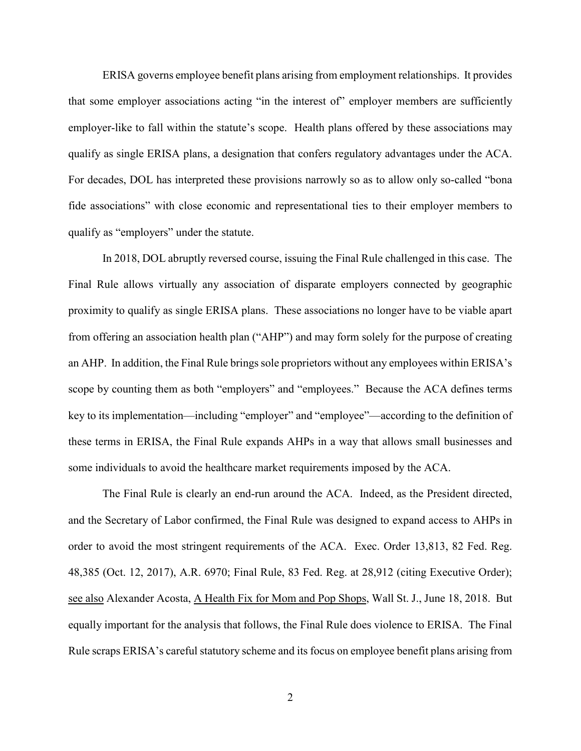ERISA governs employee benefit plans arising from employment relationships. It provides that some employer associations acting "in the interest of" employer members are sufficiently employer-like to fall within the statute's scope. Health plans offered by these associations may qualify as single ERISA plans, a designation that confers regulatory advantages under the ACA. For decades, DOL has interpreted these provisions narrowly so as to allow only so-called "bona fide associations" with close economic and representational ties to their employer members to qualify as "employers" under the statute.

In 2018, DOL abruptly reversed course, issuing the Final Rule challenged in this case. The Final Rule allows virtually any association of disparate employers connected by geographic proximity to qualify as single ERISA plans. These associations no longer have to be viable apart from offering an association health plan ("AHP") and may form solely for the purpose of creating an AHP. In addition, the Final Rule brings sole proprietors without any employees within ERISA's scope by counting them as both "employers" and "employees." Because the ACA defines terms key to its implementation—including "employer" and "employee"—according to the definition of these terms in ERISA, the Final Rule expands AHPs in a way that allows small businesses and some individuals to avoid the healthcare market requirements imposed by the ACA.

The Final Rule is clearly an end-run around the ACA. Indeed, as the President directed, and the Secretary of Labor confirmed, the Final Rule was designed to expand access to AHPs in order to avoid the most stringent requirements of the ACA. Exec. Order 13,813, 82 Fed. Reg. 48,385 (Oct. 12, 2017), A.R. 6970; Final Rule, 83 Fed. Reg. at 28,912 (citing Executive Order); see also Alexander Acosta, A Health Fix for Mom and Pop Shops, Wall St. J., June 18, 2018. But equally important for the analysis that follows, the Final Rule does violence to ERISA. The Final Rule scraps ERISA's careful statutory scheme and its focus on employee benefit plans arising from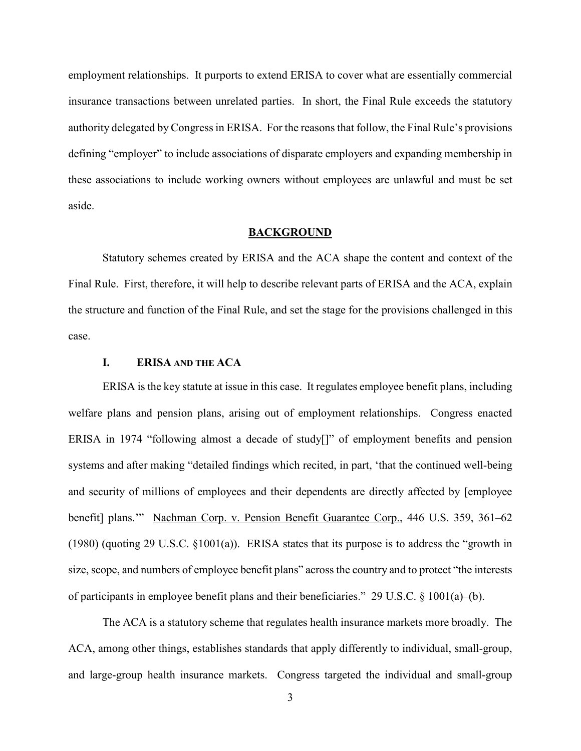employment relationships. It purports to extend ERISA to cover what are essentially commercial insurance transactions between unrelated parties. In short, the Final Rule exceeds the statutory authority delegated by Congressin ERISA. For the reasons that follow, the Final Rule's provisions defining "employer" to include associations of disparate employers and expanding membership in these associations to include working owners without employees are unlawful and must be set aside.

#### **BACKGROUND**

Statutory schemes created by ERISA and the ACA shape the content and context of the Final Rule. First, therefore, it will help to describe relevant parts of ERISA and the ACA, explain the structure and function of the Final Rule, and set the stage for the provisions challenged in this case.

## **I. ERISA AND THE ACA**

ERISA is the key statute at issue in this case. It regulates employee benefit plans, including welfare plans and pension plans, arising out of employment relationships. Congress enacted ERISA in 1974 "following almost a decade of study[]" of employment benefits and pension systems and after making "detailed findings which recited, in part, 'that the continued well-being and security of millions of employees and their dependents are directly affected by [employee benefit] plans.'" Nachman Corp. v. Pension Benefit Guarantee Corp., 446 U.S. 359, 361–62 (1980) (quoting 29 U.S.C. §1001(a)). ERISA states that its purpose is to address the "growth in size, scope, and numbers of employee benefit plans" across the country and to protect "the interests of participants in employee benefit plans and their beneficiaries." 29 U.S.C.  $\S$  1001(a)–(b).

The ACA is a statutory scheme that regulates health insurance markets more broadly. The ACA, among other things, establishes standards that apply differently to individual, small-group, and large-group health insurance markets. Congress targeted the individual and small-group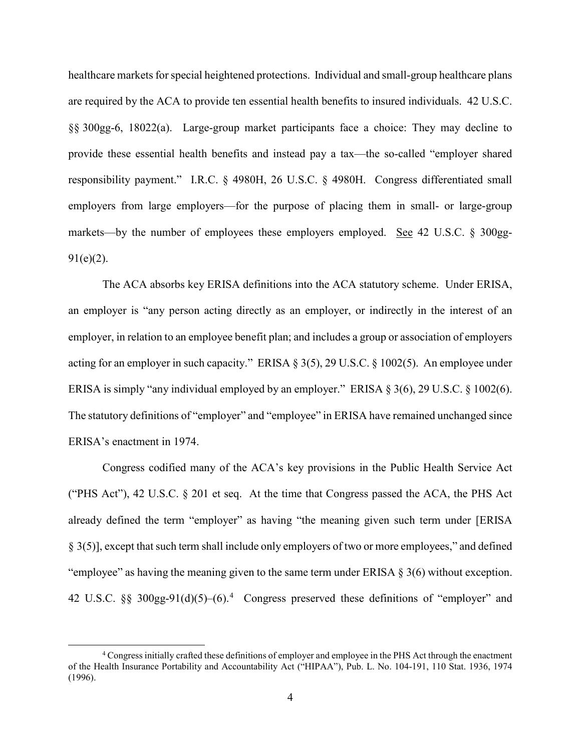healthcare markets for special heightened protections. Individual and small-group healthcare plans are required by the ACA to provide ten essential health benefits to insured individuals. 42 U.S.C. §§ 300gg-6, 18022(a). Large-group market participants face a choice: They may decline to provide these essential health benefits and instead pay a tax—the so-called "employer shared responsibility payment." I.R.C. § 4980H, 26 U.S.C. § 4980H. Congress differentiated small employers from large employers—for the purpose of placing them in small- or large-group markets—by the number of employees these employers employed. See 42 U.S.C. § 300gg- $91(e)(2)$ .

The ACA absorbs key ERISA definitions into the ACA statutory scheme. Under ERISA, an employer is "any person acting directly as an employer, or indirectly in the interest of an employer, in relation to an employee benefit plan; and includes a group or association of employers acting for an employer in such capacity." ERISA § 3(5), 29 U.S.C. § 1002(5). An employee under ERISA is simply "any individual employed by an employer." ERISA § 3(6), 29 U.S.C. § 1002(6). The statutory definitions of "employer" and "employee" in ERISA have remained unchanged since ERISA's enactment in 1974.

Congress codified many of the ACA's key provisions in the Public Health Service Act ("PHS Act"), 42 U.S.C. § 201 et seq. At the time that Congress passed the ACA, the PHS Act already defined the term "employer" as having "the meaning given such term under [ERISA § 3(5)], except that such term shall include only employers of two or more employees," and defined "employee" as having the meaning given to the same term under ERISA  $\S$  3(6) without exception. [4](#page-3-0)2 U.S.C.  $\S$ § 300gg-91(d)(5)–(6).<sup>4</sup> Congress preserved these definitions of "employer" and

<span id="page-3-0"></span> <sup>4</sup> Congress initially crafted these definitions of employer and employee in the PHS Act through the enactment of the Health Insurance Portability and Accountability Act ("HIPAA"), Pub. L. No. 104-191, 110 Stat. 1936, 1974 (1996).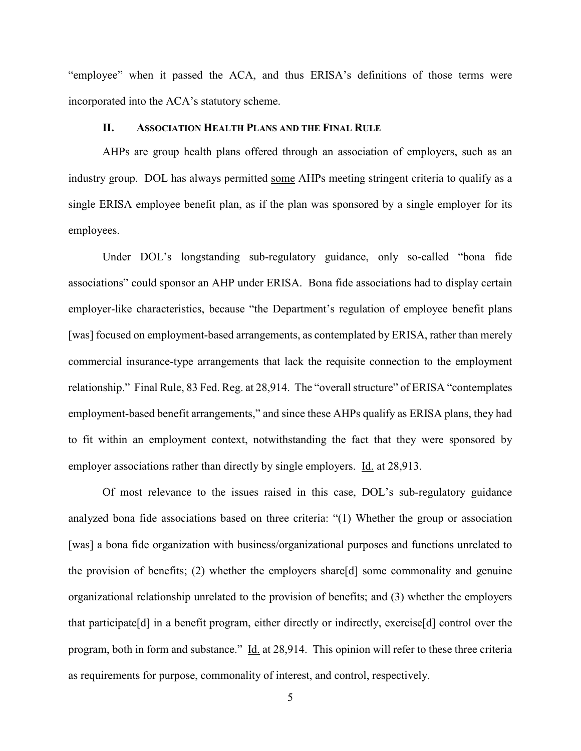"employee" when it passed the ACA, and thus ERISA's definitions of those terms were incorporated into the ACA's statutory scheme.

#### **II. ASSOCIATION HEALTH PLANS AND THE FINAL RULE**

AHPs are group health plans offered through an association of employers, such as an industry group. DOL has always permitted some AHPs meeting stringent criteria to qualify as a single ERISA employee benefit plan, as if the plan was sponsored by a single employer for its employees.

Under DOL's longstanding sub-regulatory guidance, only so-called "bona fide associations" could sponsor an AHP under ERISA. Bona fide associations had to display certain employer-like characteristics, because "the Department's regulation of employee benefit plans [was] focused on employment-based arrangements, as contemplated by ERISA, rather than merely commercial insurance-type arrangements that lack the requisite connection to the employment relationship." Final Rule, 83 Fed. Reg. at 28,914. The "overall structure" of ERISA "contemplates employment-based benefit arrangements," and since these AHPs qualify as ERISA plans, they had to fit within an employment context, notwithstanding the fact that they were sponsored by employer associations rather than directly by single employers. Id. at 28,913.

Of most relevance to the issues raised in this case, DOL's sub-regulatory guidance analyzed bona fide associations based on three criteria: "(1) Whether the group or association [was] a bona fide organization with business/organizational purposes and functions unrelated to the provision of benefits; (2) whether the employers share[d] some commonality and genuine organizational relationship unrelated to the provision of benefits; and (3) whether the employers that participate[d] in a benefit program, either directly or indirectly, exercise[d] control over the program, both in form and substance." Id. at 28,914. This opinion will refer to these three criteria as requirements for purpose, commonality of interest, and control, respectively.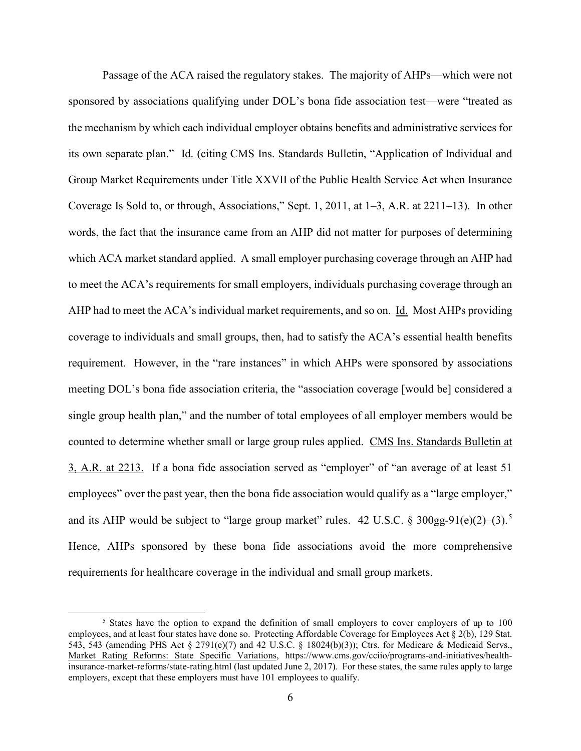Passage of the ACA raised the regulatory stakes. The majority of AHPs—which were not sponsored by associations qualifying under DOL's bona fide association test—were "treated as the mechanism by which each individual employer obtains benefits and administrative services for its own separate plan." Id. (citing CMS Ins. Standards Bulletin, "Application of Individual and Group Market Requirements under Title XXVII of the Public Health Service Act when Insurance Coverage Is Sold to, or through, Associations," Sept. 1, 2011, at 1–3, A.R. at 2211–13). In other words, the fact that the insurance came from an AHP did not matter for purposes of determining which ACA market standard applied. A small employer purchasing coverage through an AHP had to meet the ACA's requirements for small employers, individuals purchasing coverage through an AHP had to meet the ACA's individual market requirements, and so on. Id. Most AHPs providing coverage to individuals and small groups, then, had to satisfy the ACA's essential health benefits requirement. However, in the "rare instances" in which AHPs were sponsored by associations meeting DOL's bona fide association criteria, the "association coverage [would be] considered a single group health plan," and the number of total employees of all employer members would be counted to determine whether small or large group rules applied. CMS Ins. Standards Bulletin at 3, A.R. at 2213. If a bona fide association served as "employer" of "an average of at least 51 employees" over the past year, then the bona fide association would qualify as a "large employer," and its AHP would be subject to "large group market" rules. 42 U.S.C. § 300gg-91(e)(2)–(3).<sup>[5](#page-5-0)</sup> Hence, AHPs sponsored by these bona fide associations avoid the more comprehensive requirements for healthcare coverage in the individual and small group markets.

<span id="page-5-0"></span><sup>&</sup>lt;sup>5</sup> States have the option to expand the definition of small employers to cover employers of up to 100 employees, and at least four states have done so. Protecting Affordable Coverage for Employees Act § 2(b), 129 Stat. 543, 543 (amending PHS Act § 2791(e)(7) and 42 U.S.C. § 18024(b)(3)); Ctrs. for Medicare & Medicaid Servs., Market Rating Reforms: State Specific Variations, https://www.cms.gov/cciio/programs-and-initiatives/healthinsurance-market-reforms/state-rating.html (last updated June 2, 2017). For these states, the same rules apply to large employers, except that these employers must have 101 employees to qualify.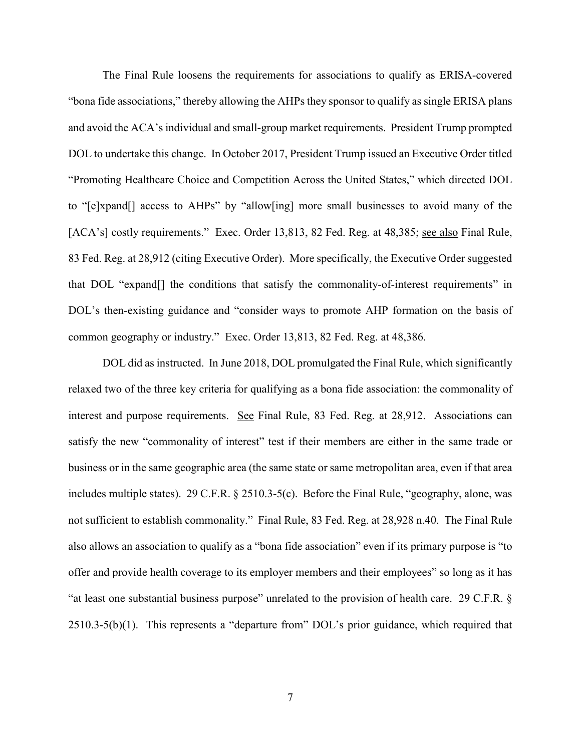The Final Rule loosens the requirements for associations to qualify as ERISA-covered "bona fide associations," thereby allowing the AHPs they sponsor to qualify as single ERISA plans and avoid the ACA's individual and small-group market requirements. President Trump prompted DOL to undertake this change. In October 2017, President Trump issued an Executive Order titled "Promoting Healthcare Choice and Competition Across the United States," which directed DOL to "[e]xpand[] access to AHPs" by "allow[ing] more small businesses to avoid many of the [ACA's] costly requirements." Exec. Order 13,813, 82 Fed. Reg. at 48,385; see also Final Rule, 83 Fed. Reg. at 28,912 (citing Executive Order). More specifically, the Executive Order suggested that DOL "expand[] the conditions that satisfy the commonality-of-interest requirements" in DOL's then-existing guidance and "consider ways to promote AHP formation on the basis of common geography or industry." Exec. Order 13,813, 82 Fed. Reg. at 48,386.

DOL did as instructed. In June 2018, DOL promulgated the Final Rule, which significantly relaxed two of the three key criteria for qualifying as a bona fide association: the commonality of interest and purpose requirements. See Final Rule, 83 Fed. Reg. at 28,912. Associations can satisfy the new "commonality of interest" test if their members are either in the same trade or business or in the same geographic area (the same state or same metropolitan area, even if that area includes multiple states). 29 C.F.R. § 2510.3-5(c). Before the Final Rule, "geography, alone, was not sufficient to establish commonality." Final Rule, 83 Fed. Reg. at 28,928 n.40. The Final Rule also allows an association to qualify as a "bona fide association" even if its primary purpose is "to offer and provide health coverage to its employer members and their employees" so long as it has "at least one substantial business purpose" unrelated to the provision of health care. 29 C.F.R. § 2510.3-5(b)(1). This represents a "departure from" DOL's prior guidance, which required that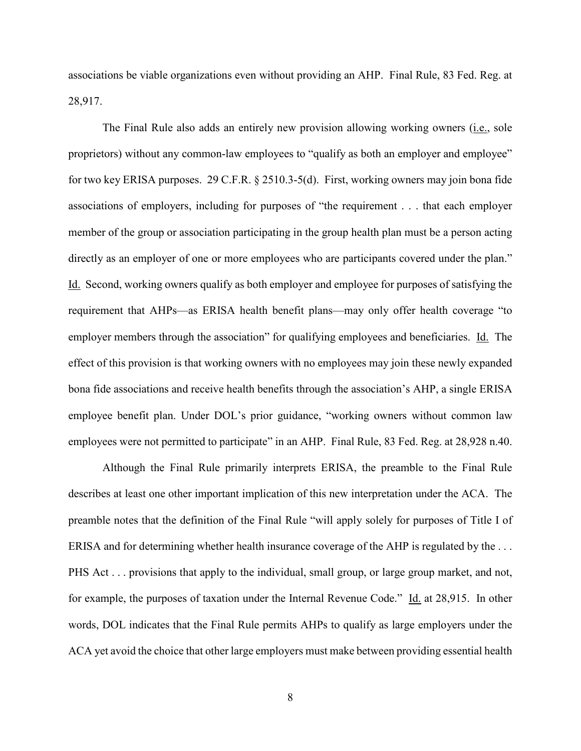associations be viable organizations even without providing an AHP. Final Rule, 83 Fed. Reg. at 28,917.

The Final Rule also adds an entirely new provision allowing working owners (i.e., sole proprietors) without any common-law employees to "qualify as both an employer and employee" for two key ERISA purposes. 29 C.F.R. § 2510.3-5(d). First, working owners may join bona fide associations of employers, including for purposes of "the requirement . . . that each employer member of the group or association participating in the group health plan must be a person acting directly as an employer of one or more employees who are participants covered under the plan." Id. Second, working owners qualify as both employer and employee for purposes of satisfying the requirement that AHPs—as ERISA health benefit plans—may only offer health coverage "to employer members through the association" for qualifying employees and beneficiaries. Id. The effect of this provision is that working owners with no employees may join these newly expanded bona fide associations and receive health benefits through the association's AHP, a single ERISA employee benefit plan. Under DOL's prior guidance, "working owners without common law employees were not permitted to participate" in an AHP. Final Rule, 83 Fed. Reg. at 28,928 n.40.

Although the Final Rule primarily interprets ERISA, the preamble to the Final Rule describes at least one other important implication of this new interpretation under the ACA. The preamble notes that the definition of the Final Rule "will apply solely for purposes of Title I of ERISA and for determining whether health insurance coverage of the AHP is regulated by the . . . PHS Act . . . provisions that apply to the individual, small group, or large group market, and not, for example, the purposes of taxation under the Internal Revenue Code." Id. at 28,915. In other words, DOL indicates that the Final Rule permits AHPs to qualify as large employers under the ACA yet avoid the choice that other large employers must make between providing essential health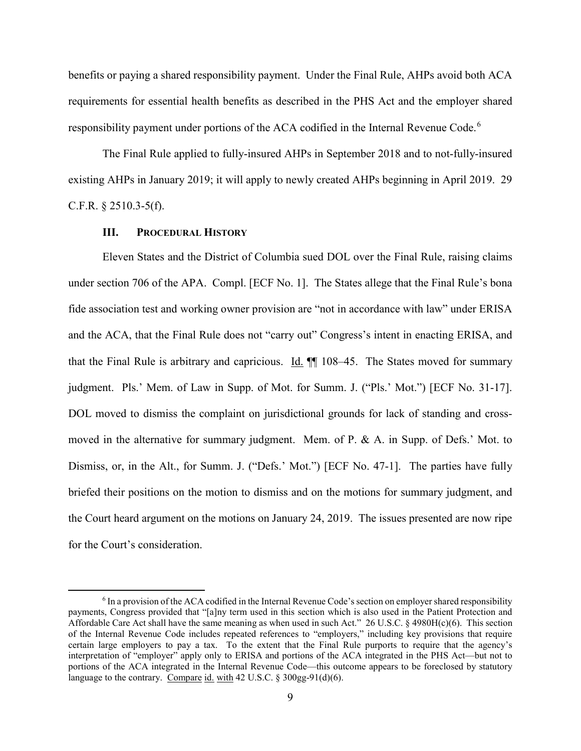benefits or paying a shared responsibility payment. Under the Final Rule, AHPs avoid both ACA requirements for essential health benefits as described in the PHS Act and the employer shared responsibility payment under portions of the ACA codified in the Internal Revenue Code.[6](#page-8-0)

The Final Rule applied to fully-insured AHPs in September 2018 and to not-fully-insured existing AHPs in January 2019; it will apply to newly created AHPs beginning in April 2019. 29 C.F.R. § 2510.3-5(f).

#### **III. PROCEDURAL HISTORY**

Eleven States and the District of Columbia sued DOL over the Final Rule, raising claims under section 706 of the APA. Compl. [ECF No. 1]. The States allege that the Final Rule's bona fide association test and working owner provision are "not in accordance with law" under ERISA and the ACA, that the Final Rule does not "carry out" Congress's intent in enacting ERISA, and that the Final Rule is arbitrary and capricious. Id. ¶¶ 108–45. The States moved for summary judgment. Pls.' Mem. of Law in Supp. of Mot. for Summ. J. ("Pls.' Mot.") [ECF No. 31-17]. DOL moved to dismiss the complaint on jurisdictional grounds for lack of standing and crossmoved in the alternative for summary judgment. Mem. of P. & A. in Supp. of Defs.' Mot. to Dismiss, or, in the Alt., for Summ. J. ("Defs.' Mot.") [ECF No. 47-1]. The parties have fully briefed their positions on the motion to dismiss and on the motions for summary judgment, and the Court heard argument on the motions on January 24, 2019. The issues presented are now ripe for the Court's consideration.

<span id="page-8-0"></span> <sup>6</sup> In a provision of the ACA codified in the Internal Revenue Code's section on employer shared responsibility payments, Congress provided that "[a]ny term used in this section which is also used in the Patient Protection and Affordable Care Act shall have the same meaning as when used in such Act." 26 U.S.C.  $\S$  4980H(c)(6). This section of the Internal Revenue Code includes repeated references to "employers," including key provisions that require certain large employers to pay a tax. To the extent that the Final Rule purports to require that the agency's interpretation of "employer" apply only to ERISA and portions of the ACA integrated in the PHS Act—but not to portions of the ACA integrated in the Internal Revenue Code—this outcome appears to be foreclosed by statutory language to the contrary. Compare id. with 42 U.S.C. § 300gg-91(d)(6).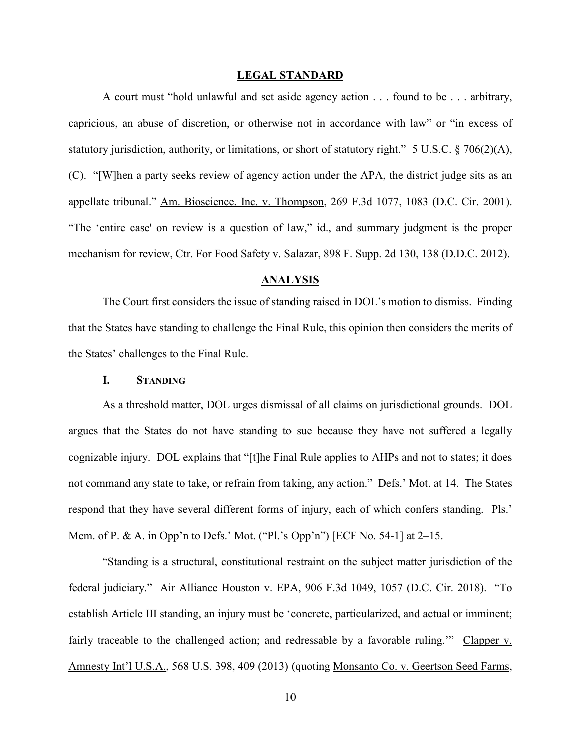#### **LEGAL STANDARD**

A court must "hold unlawful and set aside agency action . . . found to be . . . arbitrary, capricious, an abuse of discretion, or otherwise not in accordance with law" or "in excess of statutory jurisdiction, authority, or limitations, or short of statutory right." 5 U.S.C. § 706(2)(A), (C). "[W]hen a party seeks review of agency action under the APA, the district judge sits as an appellate tribunal." Am. Bioscience, Inc. v. Thompson, 269 F.3d 1077, 1083 (D.C. Cir. 2001). "The 'entire case' on review is a question of law," id., and summary judgment is the proper mechanism for review, Ctr. For Food Safety v. Salazar, 898 F. Supp. 2d 130, 138 (D.D.C. 2012).

#### **ANALYSIS**

The Court first considers the issue of standing raised in DOL's motion to dismiss. Finding that the States have standing to challenge the Final Rule, this opinion then considers the merits of the States' challenges to the Final Rule.

#### **I. STANDING**

As a threshold matter, DOL urges dismissal of all claims on jurisdictional grounds. DOL argues that the States do not have standing to sue because they have not suffered a legally cognizable injury. DOL explains that "[t]he Final Rule applies to AHPs and not to states; it does not command any state to take, or refrain from taking, any action." Defs.' Mot. at 14. The States respond that they have several different forms of injury, each of which confers standing. Pls.' Mem. of P. & A. in Opp'n to Defs.' Mot. ("Pl.'s Opp'n") [ECF No. 54-1] at 2–15.

"Standing is a structural, constitutional restraint on the subject matter jurisdiction of the federal judiciary." Air Alliance Houston v. EPA, 906 F.3d 1049, 1057 (D.C. Cir. 2018). "To establish Article III standing, an injury must be 'concrete, particularized, and actual or imminent; fairly traceable to the challenged action; and redressable by a favorable ruling." Clapper v. Amnesty Int'l U.S.A., 568 U.S. 398, 409 (2013) (quoting Monsanto Co. v. Geertson Seed Farms,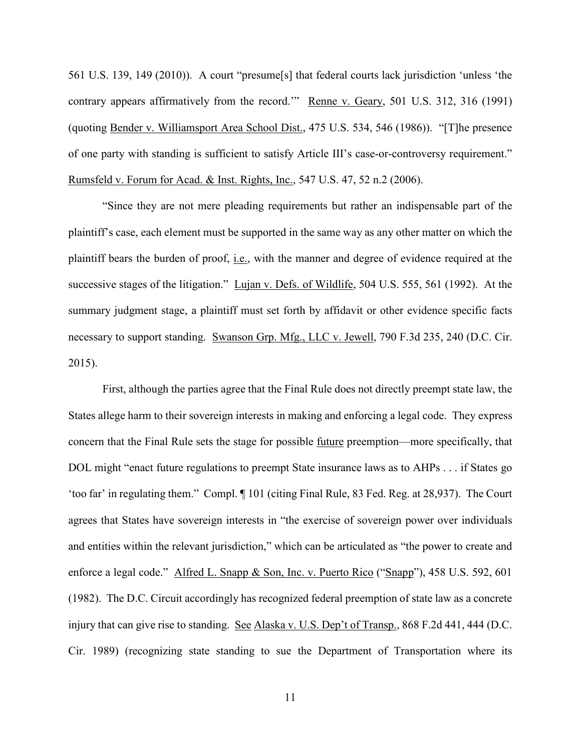561 U.S. 139, 149 (2010)). A court "presume[s] that federal courts lack jurisdiction 'unless 'the contrary appears affirmatively from the record." Renne v. Geary, 501 U.S. 312, 316 (1991) (quoting Bender v. Williamsport Area School Dist., 475 U.S. 534, 546 (1986)). "[T]he presence of one party with standing is sufficient to satisfy Article III's case-or-controversy requirement." Rumsfeld v. Forum for Acad. & Inst. Rights, Inc., 547 U.S. 47, 52 n.2 (2006).

"Since they are not mere pleading requirements but rather an indispensable part of the plaintiff's case, each element must be supported in the same way as any other matter on which the plaintiff bears the burden of proof, i.e., with the manner and degree of evidence required at the successive stages of the litigation." Lujan v. Defs. of Wildlife, 504 U.S. 555, 561 (1992). At the summary judgment stage, a plaintiff must set forth by affidavit or other evidence specific facts necessary to support standing. Swanson Grp. Mfg., LLC v. Jewell, 790 F.3d 235, 240 (D.C. Cir. 2015).

First, although the parties agree that the Final Rule does not directly preempt state law, the States allege harm to their sovereign interests in making and enforcing a legal code. They express concern that the Final Rule sets the stage for possible future preemption—more specifically, that DOL might "enact future regulations to preempt State insurance laws as to AHPs . . . if States go 'too far' in regulating them." Compl. ¶ 101 (citing Final Rule, 83 Fed. Reg. at 28,937). The Court agrees that States have sovereign interests in "the exercise of sovereign power over individuals and entities within the relevant jurisdiction," which can be articulated as "the power to create and enforce a legal code." Alfred L. Snapp & Son, Inc. v. Puerto Rico ("Snapp"), 458 U.S. 592, 601 (1982). The D.C. Circuit accordingly has recognized federal preemption of state law as a concrete injury that can give rise to standing. See Alaska v. U.S. Dep't of Transp., 868 F.2d 441, 444 (D.C. Cir. 1989) (recognizing state standing to sue the Department of Transportation where its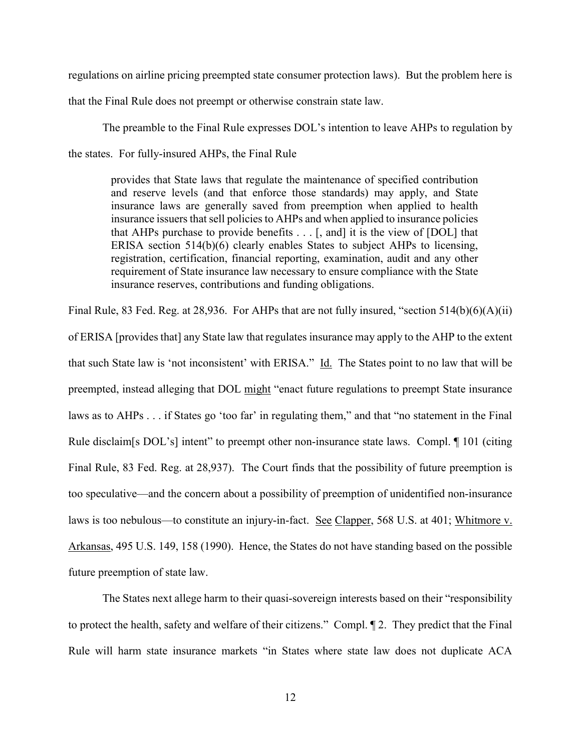regulations on airline pricing preempted state consumer protection laws). But the problem here is

that the Final Rule does not preempt or otherwise constrain state law.

The preamble to the Final Rule expresses DOL's intention to leave AHPs to regulation by the states. For fully-insured AHPs, the Final Rule

provides that State laws that regulate the maintenance of specified contribution and reserve levels (and that enforce those standards) may apply, and State insurance laws are generally saved from preemption when applied to health insurance issuers that sell policies to AHPs and when applied to insurance policies that AHPs purchase to provide benefits  $\dots$  [, and] it is the view of [DOL] that ERISA section 514(b)(6) clearly enables States to subject AHPs to licensing, registration, certification, financial reporting, examination, audit and any other requirement of State insurance law necessary to ensure compliance with the State insurance reserves, contributions and funding obligations.

Final Rule, 83 Fed. Reg. at 28,936. For AHPs that are not fully insured, "section 514(b)(6)(A)(ii) of ERISA [provides that] any State law that regulates insurance may apply to the AHP to the extent that such State law is 'not inconsistent' with ERISA." Id. The States point to no law that will be preempted, instead alleging that DOL might "enact future regulations to preempt State insurance laws as to AHPs . . . if States go 'too far' in regulating them," and that "no statement in the Final Rule disclaim[s DOL's] intent" to preempt other non-insurance state laws. Compl. ¶ 101 (citing Final Rule, 83 Fed. Reg. at 28,937). The Court finds that the possibility of future preemption is too speculative—and the concern about a possibility of preemption of unidentified non-insurance laws is too nebulous—to constitute an injury-in-fact. See Clapper, 568 U.S. at 401; Whitmore v. Arkansas, 495 U.S. 149, 158 (1990). Hence, the States do not have standing based on the possible future preemption of state law.

The States next allege harm to their quasi-sovereign interests based on their "responsibility to protect the health, safety and welfare of their citizens." Compl. ¶ 2. They predict that the Final Rule will harm state insurance markets "in States where state law does not duplicate ACA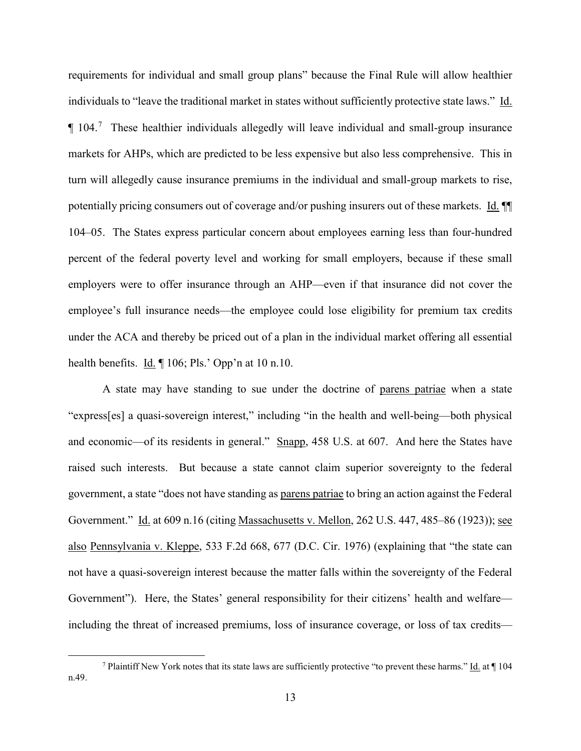requirements for individual and small group plans" because the Final Rule will allow healthier individuals to "leave the traditional market in states without sufficiently protective state laws." Id.  $\P$  104.<sup>[7](#page-12-0)</sup> These healthier individuals allegedly will leave individual and small-group insurance markets for AHPs, which are predicted to be less expensive but also less comprehensive. This in turn will allegedly cause insurance premiums in the individual and small-group markets to rise, potentially pricing consumers out of coverage and/or pushing insurers out of these markets. Id. ¶¶ 104–05. The States express particular concern about employees earning less than four-hundred percent of the federal poverty level and working for small employers, because if these small employers were to offer insurance through an AHP—even if that insurance did not cover the employee's full insurance needs—the employee could lose eligibility for premium tax credits under the ACA and thereby be priced out of a plan in the individual market offering all essential health benefits.  $\underline{Id}$ .  $\P$  106; Pls.' Opp'n at 10 n.10.

A state may have standing to sue under the doctrine of parens patriae when a state "express[es] a quasi-sovereign interest," including "in the health and well-being—both physical and economic—of its residents in general." Snapp, 458 U.S. at 607. And here the States have raised such interests. But because a state cannot claim superior sovereignty to the federal government, a state "does not have standing as parens patriae to bring an action against the Federal Government." Id. at 609 n.16 (citing Massachusetts v. Mellon, 262 U.S. 447, 485–86 (1923)); see also Pennsylvania v. Kleppe, 533 F.2d 668, 677 (D.C. Cir. 1976) (explaining that "the state can not have a quasi-sovereign interest because the matter falls within the sovereignty of the Federal Government"). Here, the States' general responsibility for their citizens' health and welfare including the threat of increased premiums, loss of insurance coverage, or loss of tax credits—

<span id="page-12-0"></span><sup>&</sup>lt;sup>7</sup> Plaintiff New York notes that its state laws are sufficiently protective "to prevent these harms." Id. at  $\P$  104 n.49.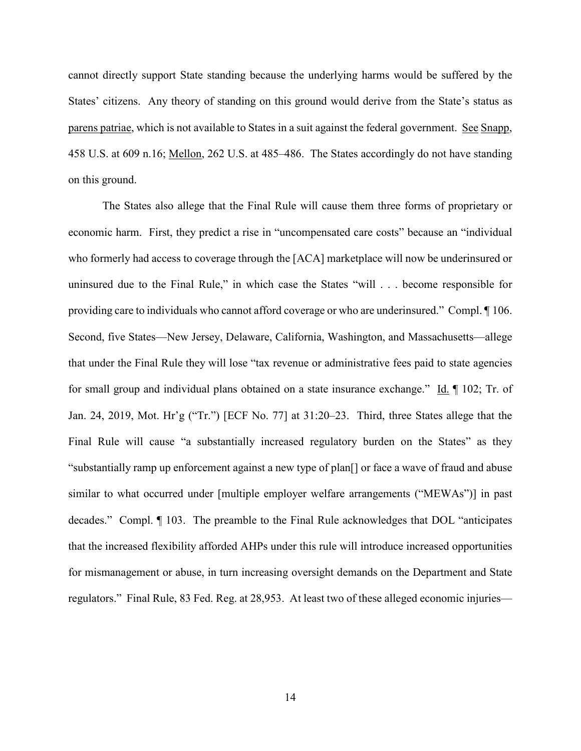cannot directly support State standing because the underlying harms would be suffered by the States' citizens. Any theory of standing on this ground would derive from the State's status as parens patriae, which is not available to States in a suit against the federal government. See Snapp, 458 U.S. at 609 n.16; Mellon, 262 U.S. at 485–486. The States accordingly do not have standing on this ground.

The States also allege that the Final Rule will cause them three forms of proprietary or economic harm. First, they predict a rise in "uncompensated care costs" because an "individual who formerly had access to coverage through the [ACA] marketplace will now be underinsured or uninsured due to the Final Rule," in which case the States "will . . . become responsible for providing care to individuals who cannot afford coverage or who are underinsured." Compl. ¶ 106. Second, five States—New Jersey, Delaware, California, Washington, and Massachusetts—allege that under the Final Rule they will lose "tax revenue or administrative fees paid to state agencies for small group and individual plans obtained on a state insurance exchange." Id. ¶ 102; Tr. of Jan. 24, 2019, Mot. Hr'g ("Tr.") [ECF No. 77] at 31:20–23. Third, three States allege that the Final Rule will cause "a substantially increased regulatory burden on the States" as they "substantially ramp up enforcement against a new type of plan[] or face a wave of fraud and abuse similar to what occurred under [multiple employer welfare arrangements ("MEWAs")] in past decades." Compl. ¶ 103. The preamble to the Final Rule acknowledges that DOL "anticipates that the increased flexibility afforded AHPs under this rule will introduce increased opportunities for mismanagement or abuse, in turn increasing oversight demands on the Department and State regulators." Final Rule, 83 Fed. Reg. at 28,953. At least two of these alleged economic injuries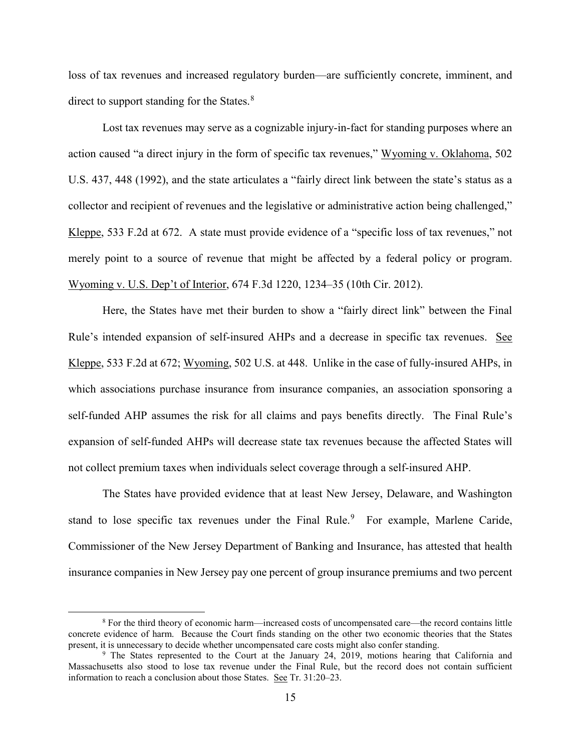loss of tax revenues and increased regulatory burden—are sufficiently concrete, imminent, and direct to support standing for the States.<sup>[8](#page-14-0)</sup>

Lost tax revenues may serve as a cognizable injury-in-fact for standing purposes where an action caused "a direct injury in the form of specific tax revenues," Wyoming v. Oklahoma, 502 U.S. 437, 448 (1992), and the state articulates a "fairly direct link between the state's status as a collector and recipient of revenues and the legislative or administrative action being challenged," Kleppe, 533 F.2d at 672. A state must provide evidence of a "specific loss of tax revenues," not merely point to a source of revenue that might be affected by a federal policy or program. Wyoming v. U.S. Dep't of Interior, 674 F.3d 1220, 1234–35 (10th Cir. 2012).

Here, the States have met their burden to show a "fairly direct link" between the Final Rule's intended expansion of self-insured AHPs and a decrease in specific tax revenues. See Kleppe, 533 F.2d at 672; Wyoming, 502 U.S. at 448. Unlike in the case of fully-insured AHPs, in which associations purchase insurance from insurance companies, an association sponsoring a self-funded AHP assumes the risk for all claims and pays benefits directly. The Final Rule's expansion of self-funded AHPs will decrease state tax revenues because the affected States will not collect premium taxes when individuals select coverage through a self-insured AHP.

The States have provided evidence that at least New Jersey, Delaware, and Washington stand to lose specific tax revenues under the Final Rule.<sup>[9](#page-14-1)</sup> For example, Marlene Caride, Commissioner of the New Jersey Department of Banking and Insurance, has attested that health insurance companies in New Jersey pay one percent of group insurance premiums and two percent

<span id="page-14-0"></span> <sup>8</sup> For the third theory of economic harm—increased costs of uncompensated care—the record contains little concrete evidence of harm. Because the Court finds standing on the other two economic theories that the States present, it is unnecessary to decide whether uncompensated care costs might also confer standing.<br><sup>9</sup> The States represented to the Court at the January 24, 2019, motions hearing that California and

<span id="page-14-1"></span>Massachusetts also stood to lose tax revenue under the Final Rule, but the record does not contain sufficient information to reach a conclusion about those States. See Tr. 31:20–23.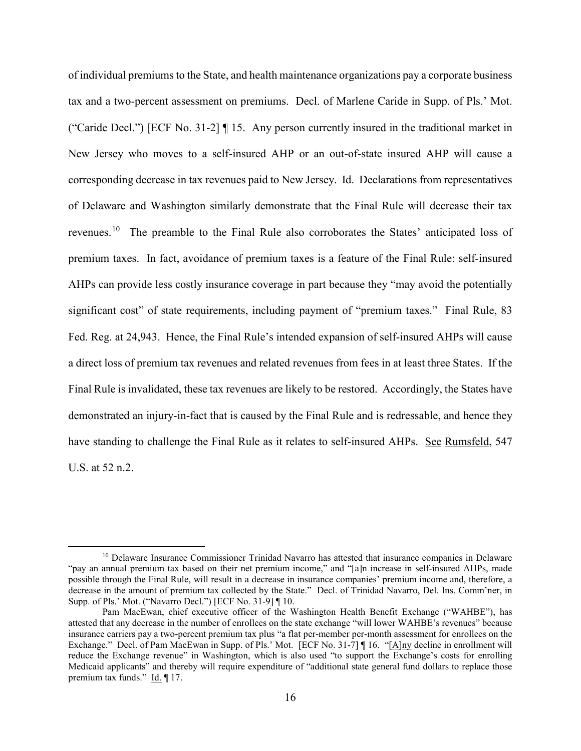of individual premiums to the State, and health maintenance organizations pay a corporate business tax and a two-percent assessment on premiums. Decl. of Marlene Caride in Supp. of Pls.' Mot. ("Caride Decl.") [ECF No. 31-2] ¶ 15. Any person currently insured in the traditional market in New Jersey who moves to a self-insured AHP or an out-of-state insured AHP will cause a corresponding decrease in tax revenues paid to New Jersey. Id. Declarations from representatives of Delaware and Washington similarly demonstrate that the Final Rule will decrease their tax revenues.[10](#page-15-0) The preamble to the Final Rule also corroborates the States' anticipated loss of premium taxes. In fact, avoidance of premium taxes is a feature of the Final Rule: self-insured AHPs can provide less costly insurance coverage in part because they "may avoid the potentially significant cost" of state requirements, including payment of "premium taxes." Final Rule, 83 Fed. Reg. at 24,943. Hence, the Final Rule's intended expansion of self-insured AHPs will cause a direct loss of premium tax revenues and related revenues from fees in at least three States. If the Final Rule is invalidated, these tax revenues are likely to be restored. Accordingly, the States have demonstrated an injury-in-fact that is caused by the Final Rule and is redressable, and hence they have standing to challenge the Final Rule as it relates to self-insured AHPs. See Rumsfeld, 547 U.S. at 52 n.2.

<span id="page-15-0"></span><sup>&</sup>lt;sup>10</sup> Delaware Insurance Commissioner Trinidad Navarro has attested that insurance companies in Delaware "pay an annual premium tax based on their net premium income," and "[a]n increase in self-insured AHPs, made possible through the Final Rule, will result in a decrease in insurance companies' premium income and, therefore, a decrease in the amount of premium tax collected by the State." Decl. of Trinidad Navarro, Del. Ins. Comm'ner, in Supp. of Pls.' Mot. ("Navarro Decl.") [ECF No. 31-9] ¶ 10.

Pam MacEwan, chief executive officer of the Washington Health Benefit Exchange ("WAHBE"), has attested that any decrease in the number of enrollees on the state exchange "will lower WAHBE's revenues" because insurance carriers pay a two-percent premium tax plus "a flat per-member per-month assessment for enrollees on the Exchange." Decl. of Pam MacEwan in Supp. of Pls.' Mot. [ECF No. 31-7] | 16. "[A]ny decline in enrollment will reduce the Exchange revenue" in Washington, which is also used "to support the Exchange's costs for enrolling Medicaid applicants" and thereby will require expenditure of "additional state general fund dollars to replace those premium tax funds." Id. | 17.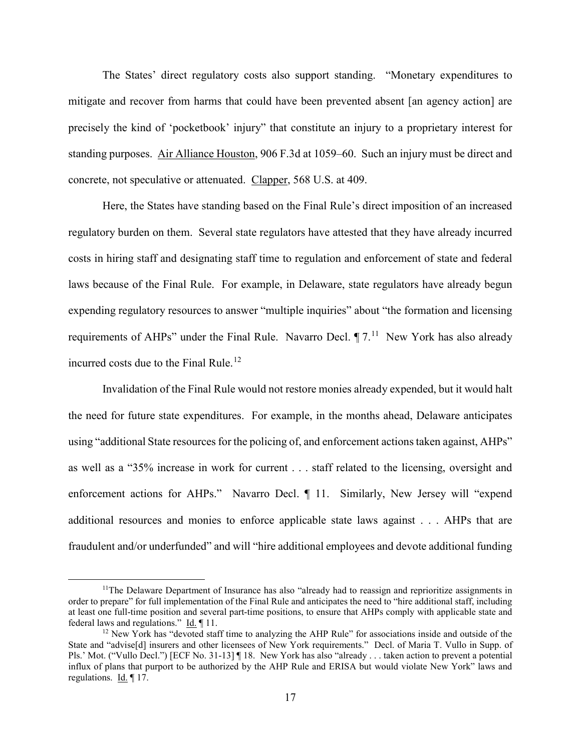The States' direct regulatory costs also support standing. "Monetary expenditures to mitigate and recover from harms that could have been prevented absent [an agency action] are precisely the kind of 'pocketbook' injury" that constitute an injury to a proprietary interest for standing purposes. Air Alliance Houston, 906 F.3d at 1059–60. Such an injury must be direct and concrete, not speculative or attenuated. Clapper, 568 U.S. at 409.

Here, the States have standing based on the Final Rule's direct imposition of an increased regulatory burden on them. Several state regulators have attested that they have already incurred costs in hiring staff and designating staff time to regulation and enforcement of state and federal laws because of the Final Rule. For example, in Delaware, state regulators have already begun expending regulatory resources to answer "multiple inquiries" about "the formation and licensing requirements of AHPs" under the Final Rule. Navarro Decl.  $\P$  7.<sup>11</sup> New York has also already incurred costs due to the Final Rule. [12](#page-16-1)

Invalidation of the Final Rule would not restore monies already expended, but it would halt the need for future state expenditures. For example, in the months ahead, Delaware anticipates using "additional State resources for the policing of, and enforcement actions taken against, AHPs" as well as a "35% increase in work for current . . . staff related to the licensing, oversight and enforcement actions for AHPs." Navarro Decl. [11. Similarly, New Jersey will "expend additional resources and monies to enforce applicable state laws against . . . AHPs that are fraudulent and/or underfunded" and will "hire additional employees and devote additional funding

<span id="page-16-0"></span><sup>&</sup>lt;sup>11</sup>The Delaware Department of Insurance has also "already had to reassign and reprioritize assignments in order to prepare" for full implementation of the Final Rule and anticipates the need to "hire additional staff, including at least one full-time position and several part-time positions, to ensure that AHPs comply with applicable state and federal laws and regulations." Id.  $\P$  11.

<span id="page-16-1"></span> $12$  New York has "devoted staff time to analyzing the AHP Rule" for associations inside and outside of the State and "advise[d] insurers and other licensees of New York requirements." Decl. of Maria T. Vullo in Supp. of Pls.' Mot. ("Vullo Decl.") [ECF No. 31-13] | 18. New York has also "already . . . taken action to prevent a potential influx of plans that purport to be authorized by the AHP Rule and ERISA but would violate New York" laws and regulations. Id. 17.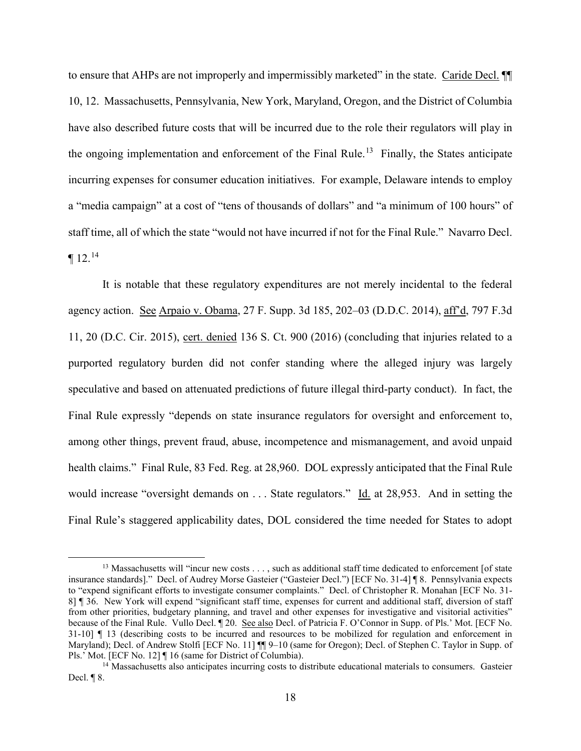to ensure that AHPs are not improperly and impermissibly marketed" in the state. Caride Decl. ¶¶ 10, 12. Massachusetts, Pennsylvania, New York, Maryland, Oregon, and the District of Columbia have also described future costs that will be incurred due to the role their regulators will play in the ongoing implementation and enforcement of the Final Rule.<sup>13</sup> Finally, the States anticipate incurring expenses for consumer education initiatives. For example, Delaware intends to employ a "media campaign" at a cost of "tens of thousands of dollars" and "a minimum of 100 hours" of staff time, all of which the state "would not have incurred if not for the Final Rule." Navarro Decl.  $\P$  12.<sup>[14](#page-17-1)</sup>

It is notable that these regulatory expenditures are not merely incidental to the federal agency action. See Arpaio v. Obama, 27 F. Supp. 3d 185, 202–03 (D.D.C. 2014), aff'd, 797 F.3d 11, 20 (D.C. Cir. 2015), cert. denied 136 S. Ct. 900 (2016) (concluding that injuries related to a purported regulatory burden did not confer standing where the alleged injury was largely speculative and based on attenuated predictions of future illegal third-party conduct). In fact, the Final Rule expressly "depends on state insurance regulators for oversight and enforcement to, among other things, prevent fraud, abuse, incompetence and mismanagement, and avoid unpaid health claims." Final Rule, 83 Fed. Reg. at 28,960. DOL expressly anticipated that the Final Rule would increase "oversight demands on . . . State regulators." Id. at 28,953. And in setting the Final Rule's staggered applicability dates, DOL considered the time needed for States to adopt

<span id="page-17-0"></span><sup>&</sup>lt;sup>13</sup> Massachusetts will "incur new costs . . . , such as additional staff time dedicated to enforcement [of state insurance standards]." Decl. of Audrey Morse Gasteier ("Gasteier Decl.") [ECF No. 31-4] ¶ 8. Pennsylvania expects to "expend significant efforts to investigate consumer complaints." Decl. of Christopher R. Monahan [ECF No. 31- 8] ¶ 36. New York will expend "significant staff time, expenses for current and additional staff, diversion of staff from other priorities, budgetary planning, and travel and other expenses for investigative and visitorial activities" because of the Final Rule. Vullo Decl.  $\P$  20. See also Decl. of Patricia F. O'Connor in Supp. of Pls.' Mot. [ECF No. 31-10] ¶ 13 (describing costs to be incurred and resources to be mobilized for regulation and enforcement in Maryland); Decl. of Andrew Stolfi [ECF No. 11]  $\P$  9–10 (same for Oregon); Decl. of Stephen C. Taylor in Supp. of Pls.' Mot. [ECF No. 12]  $\P$  16 (same for District of Columbia).

<span id="page-17-1"></span><sup>&</sup>lt;sup>14</sup> Massachusetts also anticipates incurring costs to distribute educational materials to consumers. Gasteier Decl. ¶ 8.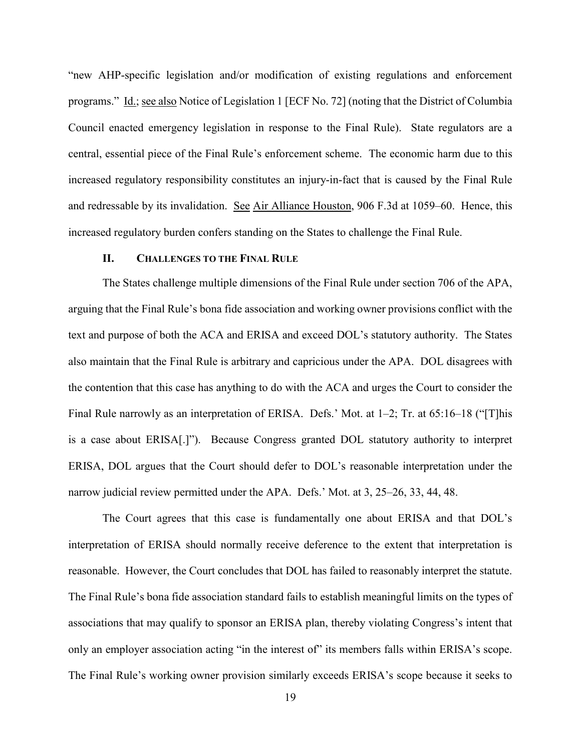"new AHP-specific legislation and/or modification of existing regulations and enforcement programs." Id.; see also Notice of Legislation 1 [ECF No. 72] (noting that the District of Columbia Council enacted emergency legislation in response to the Final Rule). State regulators are a central, essential piece of the Final Rule's enforcement scheme. The economic harm due to this increased regulatory responsibility constitutes an injury-in-fact that is caused by the Final Rule and redressable by its invalidation. See Air Alliance Houston, 906 F.3d at 1059–60. Hence, this increased regulatory burden confers standing on the States to challenge the Final Rule.

#### **II. CHALLENGES TO THE FINAL RULE**

The States challenge multiple dimensions of the Final Rule under section 706 of the APA, arguing that the Final Rule's bona fide association and working owner provisions conflict with the text and purpose of both the ACA and ERISA and exceed DOL's statutory authority. The States also maintain that the Final Rule is arbitrary and capricious under the APA. DOL disagrees with the contention that this case has anything to do with the ACA and urges the Court to consider the Final Rule narrowly as an interpretation of ERISA. Defs.' Mot. at 1–2; Tr. at 65:16–18 ("[T]his is a case about ERISA[.]"). Because Congress granted DOL statutory authority to interpret ERISA, DOL argues that the Court should defer to DOL's reasonable interpretation under the narrow judicial review permitted under the APA. Defs.' Mot. at 3, 25–26, 33, 44, 48.

The Court agrees that this case is fundamentally one about ERISA and that DOL's interpretation of ERISA should normally receive deference to the extent that interpretation is reasonable. However, the Court concludes that DOL has failed to reasonably interpret the statute. The Final Rule's bona fide association standard fails to establish meaningful limits on the types of associations that may qualify to sponsor an ERISA plan, thereby violating Congress's intent that only an employer association acting "in the interest of" its members falls within ERISA's scope. The Final Rule's working owner provision similarly exceeds ERISA's scope because it seeks to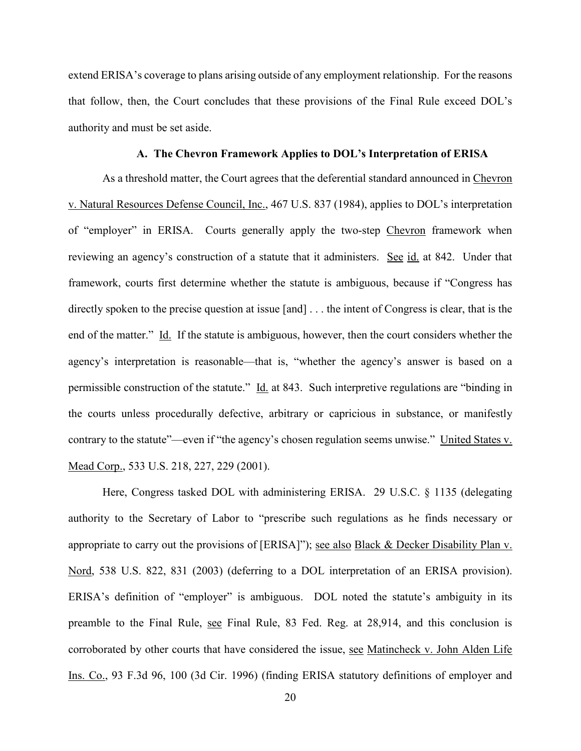extend ERISA's coverage to plans arising outside of any employment relationship. For the reasons that follow, then, the Court concludes that these provisions of the Final Rule exceed DOL's authority and must be set aside.

#### **A. The Chevron Framework Applies to DOL's Interpretation of ERISA**

As a threshold matter, the Court agrees that the deferential standard announced in Chevron v. Natural Resources Defense Council, Inc., 467 U.S. 837 (1984), applies to DOL's interpretation of "employer" in ERISA. Courts generally apply the two-step Chevron framework when reviewing an agency's construction of a statute that it administers. See id. at 842. Under that framework, courts first determine whether the statute is ambiguous, because if "Congress has directly spoken to the precise question at issue [and] . . . the intent of Congress is clear, that is the end of the matter." Id. If the statute is ambiguous, however, then the court considers whether the agency's interpretation is reasonable—that is, "whether the agency's answer is based on a permissible construction of the statute." Id. at 843. Such interpretive regulations are "binding in the courts unless procedurally defective, arbitrary or capricious in substance, or manifestly contrary to the statute"—even if "the agency's chosen regulation seems unwise." United States v. Mead Corp., 533 U.S. 218, 227, 229 (2001).

Here, Congress tasked DOL with administering ERISA. 29 U.S.C. § 1135 (delegating authority to the Secretary of Labor to "prescribe such regulations as he finds necessary or appropriate to carry out the provisions of [ERISA]"); see also Black & Decker Disability Plan v. Nord, 538 U.S. 822, 831 (2003) (deferring to a DOL interpretation of an ERISA provision). ERISA's definition of "employer" is ambiguous. DOL noted the statute's ambiguity in its preamble to the Final Rule, see Final Rule, 83 Fed. Reg. at 28,914, and this conclusion is corroborated by other courts that have considered the issue, see Matincheck v. John Alden Life Ins. Co., 93 F.3d 96, 100 (3d Cir. 1996) (finding ERISA statutory definitions of employer and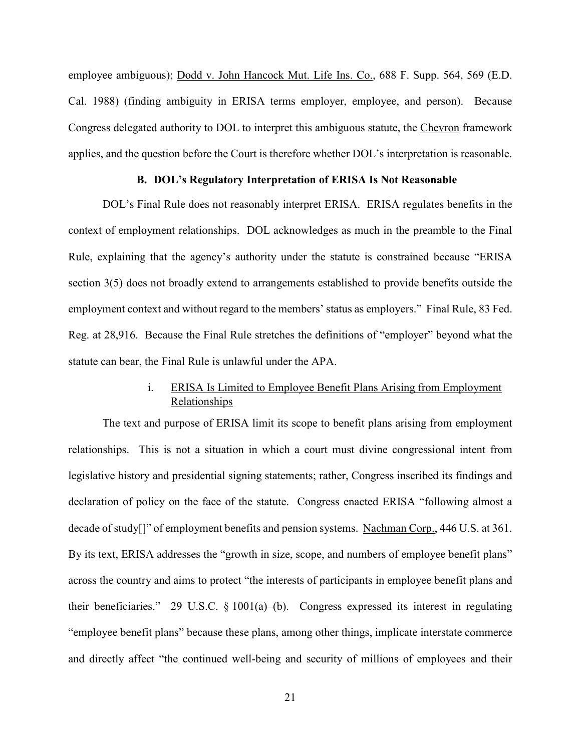employee ambiguous); Dodd v. John Hancock Mut. Life Ins. Co., 688 F. Supp. 564, 569 (E.D. Cal. 1988) (finding ambiguity in ERISA terms employer, employee, and person). Because Congress delegated authority to DOL to interpret this ambiguous statute, the Chevron framework applies, and the question before the Court is therefore whether DOL's interpretation is reasonable.

#### **B. DOL's Regulatory Interpretation of ERISA Is Not Reasonable**

DOL's Final Rule does not reasonably interpret ERISA. ERISA regulates benefits in the context of employment relationships. DOL acknowledges as much in the preamble to the Final Rule, explaining that the agency's authority under the statute is constrained because "ERISA section 3(5) does not broadly extend to arrangements established to provide benefits outside the employment context and without regard to the members' status as employers." Final Rule, 83 Fed. Reg. at 28,916. Because the Final Rule stretches the definitions of "employer" beyond what the statute can bear, the Final Rule is unlawful under the APA.

# i. ERISA Is Limited to Employee Benefit Plans Arising from Employment Relationships

The text and purpose of ERISA limit its scope to benefit plans arising from employment relationships. This is not a situation in which a court must divine congressional intent from legislative history and presidential signing statements; rather, Congress inscribed its findings and declaration of policy on the face of the statute. Congress enacted ERISA "following almost a decade of study<sup>[]"</sup> of employment benefits and pension systems. Nachman Corp., 446 U.S. at 361. By its text, ERISA addresses the "growth in size, scope, and numbers of employee benefit plans" across the country and aims to protect "the interests of participants in employee benefit plans and their beneficiaries." 29 U.S.C.  $\S 1001(a)$ –(b). Congress expressed its interest in regulating "employee benefit plans" because these plans, among other things, implicate interstate commerce and directly affect "the continued well-being and security of millions of employees and their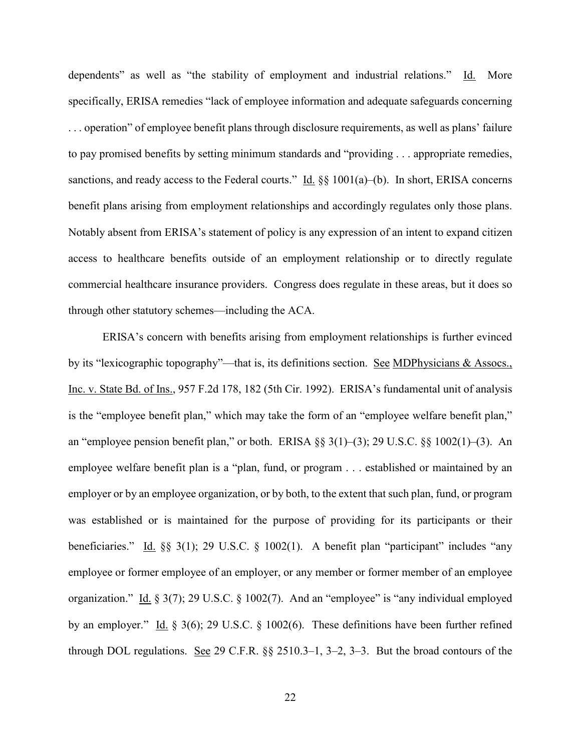dependents" as well as "the stability of employment and industrial relations." Id. More specifically, ERISA remedies "lack of employee information and adequate safeguards concerning . . . operation" of employee benefit plans through disclosure requirements, as well as plans' failure to pay promised benefits by setting minimum standards and "providing . . . appropriate remedies, sanctions, and ready access to the Federal courts."  $\underline{Id}$ . §§ 1001(a)–(b). In short, ERISA concerns benefit plans arising from employment relationships and accordingly regulates only those plans. Notably absent from ERISA's statement of policy is any expression of an intent to expand citizen access to healthcare benefits outside of an employment relationship or to directly regulate commercial healthcare insurance providers. Congress does regulate in these areas, but it does so through other statutory schemes—including the ACA.

ERISA's concern with benefits arising from employment relationships is further evinced by its "lexicographic topography"—that is, its definitions section. See MDPhysicians & Assocs., Inc. v. State Bd. of Ins., 957 F.2d 178, 182 (5th Cir. 1992). ERISA's fundamental unit of analysis is the "employee benefit plan," which may take the form of an "employee welfare benefit plan," an "employee pension benefit plan," or both. ERISA  $\S$ § 3(1)–(3); 29 U.S.C.  $\S$ § 1002(1)–(3). An employee welfare benefit plan is a "plan, fund, or program . . . established or maintained by an employer or by an employee organization, or by both, to the extent that such plan, fund, or program was established or is maintained for the purpose of providing for its participants or their beneficiaries." Id. §§ 3(1); 29 U.S.C. § 1002(1). A benefit plan "participant" includes "any employee or former employee of an employer, or any member or former member of an employee organization." Id. § 3(7); 29 U.S.C. § 1002(7). And an "employee" is "any individual employed by an employer." Id. § 3(6); 29 U.S.C. § 1002(6). These definitions have been further refined through DOL regulations. See 29 C.F.R. §§ 2510.3–1, 3–2, 3–3. But the broad contours of the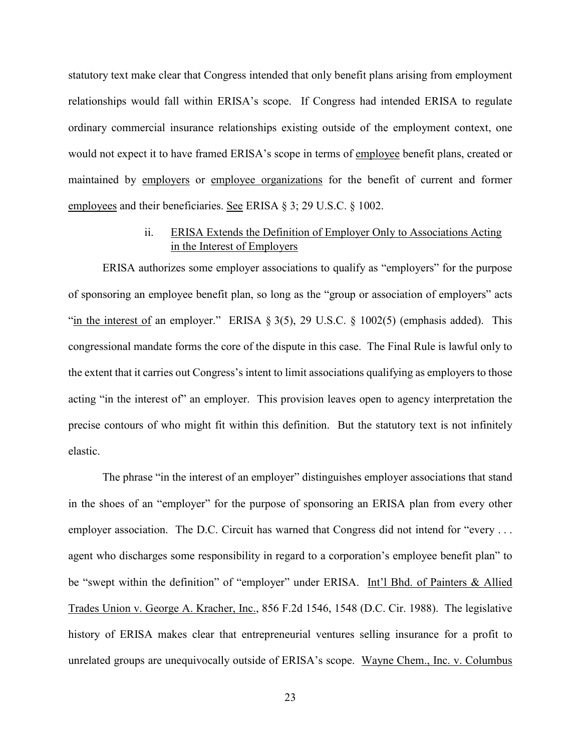statutory text make clear that Congress intended that only benefit plans arising from employment relationships would fall within ERISA's scope. If Congress had intended ERISA to regulate ordinary commercial insurance relationships existing outside of the employment context, one would not expect it to have framed ERISA's scope in terms of employee benefit plans, created or maintained by employers or employee organizations for the benefit of current and former employees and their beneficiaries. See ERISA § 3; 29 U.S.C. § 1002.

# ii. ERISA Extends the Definition of Employer Only to Associations Acting in the Interest of Employers

ERISA authorizes some employer associations to qualify as "employers" for the purpose of sponsoring an employee benefit plan, so long as the "group or association of employers" acts "in the interest of an employer." ERISA  $\S 3(5)$ , 29 U.S.C.  $\S 1002(5)$  (emphasis added). This congressional mandate forms the core of the dispute in this case. The Final Rule is lawful only to the extent that it carries out Congress's intent to limit associations qualifying as employers to those acting "in the interest of" an employer. This provision leaves open to agency interpretation the precise contours of who might fit within this definition. But the statutory text is not infinitely elastic.

The phrase "in the interest of an employer" distinguishes employer associations that stand in the shoes of an "employer" for the purpose of sponsoring an ERISA plan from every other employer association. The D.C. Circuit has warned that Congress did not intend for "every ... agent who discharges some responsibility in regard to a corporation's employee benefit plan" to be "swept within the definition" of "employer" under ERISA. Int'l Bhd. of Painters & Allied Trades Union v. George A. Kracher, Inc., 856 F.2d 1546, 1548 (D.C. Cir. 1988). The legislative history of ERISA makes clear that entrepreneurial ventures selling insurance for a profit to unrelated groups are unequivocally outside of ERISA's scope. Wayne Chem., Inc. v. Columbus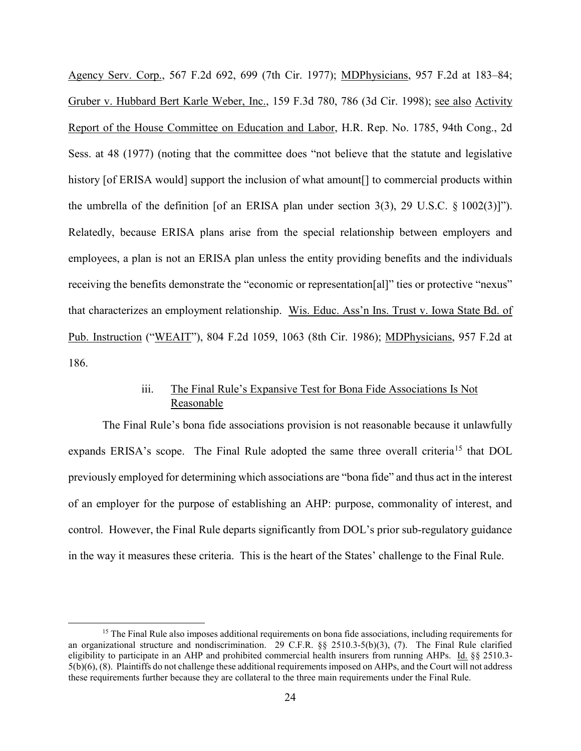Agency Serv. Corp., 567 F.2d 692, 699 (7th Cir. 1977); MDPhysicians, 957 F.2d at 183–84; Gruber v. Hubbard Bert Karle Weber, Inc., 159 F.3d 780, 786 (3d Cir. 1998); see also Activity Report of the House Committee on Education and Labor, H.R. Rep. No. 1785, 94th Cong., 2d Sess. at 48 (1977) (noting that the committee does "not believe that the statute and legislative history [of ERISA would] support the inclusion of what amount [] to commercial products within the umbrella of the definition [of an ERISA plan under section 3(3), 29 U.S.C.  $\S$  1002(3)]"). Relatedly, because ERISA plans arise from the special relationship between employers and employees, a plan is not an ERISA plan unless the entity providing benefits and the individuals receiving the benefits demonstrate the "economic or representation[al]" ties or protective "nexus" that characterizes an employment relationship. Wis. Educ. Ass'n Ins. Trust v. Iowa State Bd. of Pub. Instruction ("WEAIT"), 804 F.2d 1059, 1063 (8th Cir. 1986); MDPhysicians, 957 F.2d at 186.

# iii. The Final Rule's Expansive Test for Bona Fide Associations Is Not Reasonable

The Final Rule's bona fide associations provision is not reasonable because it unlawfully expands ERISA's scope. The Final Rule adopted the same three overall criteria<sup>[15](#page-23-0)</sup> that DOL previously employed for determining which associations are "bona fide" and thus act in the interest of an employer for the purpose of establishing an AHP: purpose, commonality of interest, and control. However, the Final Rule departs significantly from DOL's prior sub-regulatory guidance in the way it measures these criteria. This is the heart of the States' challenge to the Final Rule.

<span id="page-23-0"></span><sup>&</sup>lt;sup>15</sup> The Final Rule also imposes additional requirements on bona fide associations, including requirements for an organizational structure and nondiscrimination. 29 C.F.R. §§ 2510.3-5(b)(3), (7). The Final Rule clarified eligibility to participate in an AHP and prohibited commercial health insurers from running AHPs. Id. §§ 2510.3- 5(b)(6), (8). Plaintiffs do not challenge these additional requirements imposed on AHPs, and the Court will not address these requirements further because they are collateral to the three main requirements under the Final Rule.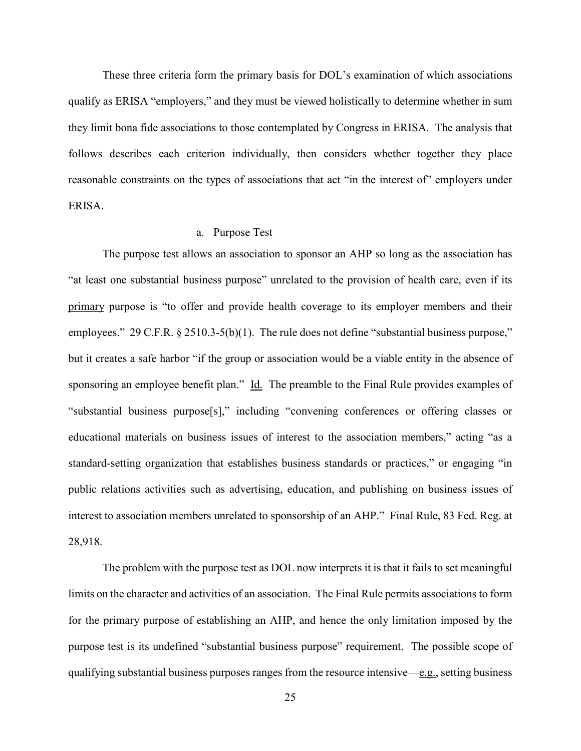These three criteria form the primary basis for DOL's examination of which associations qualify as ERISA "employers," and they must be viewed holistically to determine whether in sum they limit bona fide associations to those contemplated by Congress in ERISA. The analysis that follows describes each criterion individually, then considers whether together they place reasonable constraints on the types of associations that act "in the interest of" employers under ERISA.

#### a. Purpose Test

The purpose test allows an association to sponsor an AHP so long as the association has "at least one substantial business purpose" unrelated to the provision of health care, even if its primary purpose is "to offer and provide health coverage to its employer members and their employees." 29 C.F.R. § 2510.3-5(b)(1). The rule does not define "substantial business purpose," but it creates a safe harbor "if the group or association would be a viable entity in the absence of sponsoring an employee benefit plan." Id. The preamble to the Final Rule provides examples of "substantial business purpose[s]," including "convening conferences or offering classes or educational materials on business issues of interest to the association members," acting "as a standard-setting organization that establishes business standards or practices," or engaging "in public relations activities such as advertising, education, and publishing on business issues of interest to association members unrelated to sponsorship of an AHP." Final Rule, 83 Fed. Reg. at 28,918.

The problem with the purpose test as DOL now interprets it is that it fails to set meaningful limits on the character and activities of an association. The Final Rule permits associations to form for the primary purpose of establishing an AHP, and hence the only limitation imposed by the purpose test is its undefined "substantial business purpose" requirement. The possible scope of qualifying substantial business purposes ranges from the resource intensive—e.g., setting business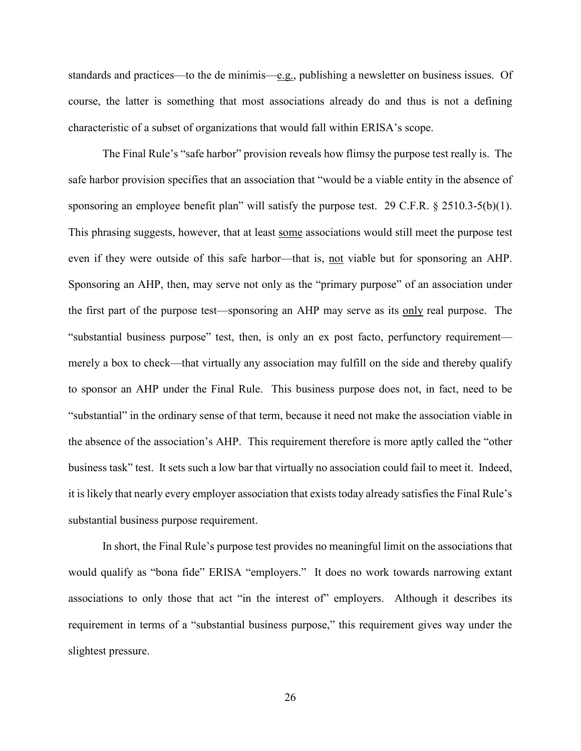standards and practices—to the de minimis—e.g., publishing a newsletter on business issues. Of course, the latter is something that most associations already do and thus is not a defining characteristic of a subset of organizations that would fall within ERISA's scope.

The Final Rule's "safe harbor" provision reveals how flimsy the purpose test really is. The safe harbor provision specifies that an association that "would be a viable entity in the absence of sponsoring an employee benefit plan" will satisfy the purpose test. 29 C.F.R. § 2510.3-5(b)(1). This phrasing suggests, however, that at least some associations would still meet the purpose test even if they were outside of this safe harbor—that is, not viable but for sponsoring an AHP. Sponsoring an AHP, then, may serve not only as the "primary purpose" of an association under the first part of the purpose test—sponsoring an AHP may serve as its only real purpose. The "substantial business purpose" test, then, is only an ex post facto, perfunctory requirement merely a box to check—that virtually any association may fulfill on the side and thereby qualify to sponsor an AHP under the Final Rule. This business purpose does not, in fact, need to be "substantial" in the ordinary sense of that term, because it need not make the association viable in the absence of the association's AHP. This requirement therefore is more aptly called the "other business task" test. It sets such a low bar that virtually no association could fail to meet it. Indeed, it is likely that nearly every employer association that exists today already satisfies the Final Rule's substantial business purpose requirement.

In short, the Final Rule's purpose test provides no meaningful limit on the associations that would qualify as "bona fide" ERISA "employers." It does no work towards narrowing extant associations to only those that act "in the interest of" employers. Although it describes its requirement in terms of a "substantial business purpose," this requirement gives way under the slightest pressure.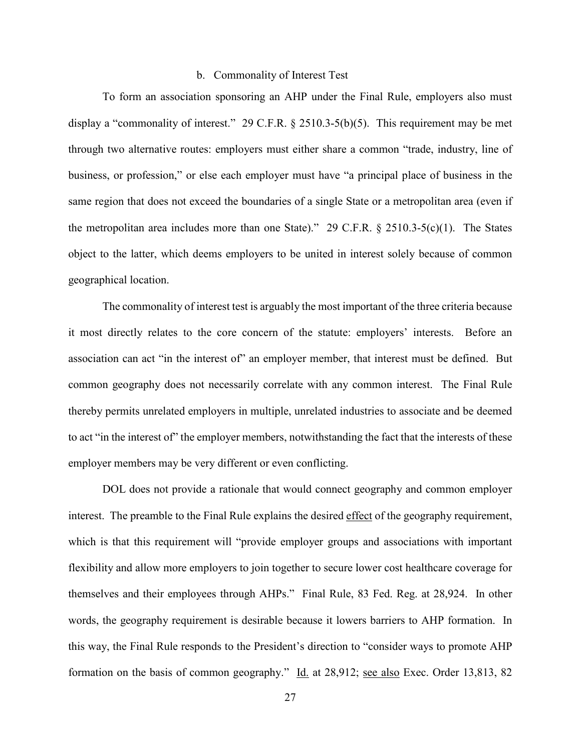#### b. Commonality of Interest Test

To form an association sponsoring an AHP under the Final Rule, employers also must display a "commonality of interest." 29 C.F.R. § 2510.3-5(b)(5). This requirement may be met through two alternative routes: employers must either share a common "trade, industry, line of business, or profession," or else each employer must have "a principal place of business in the same region that does not exceed the boundaries of a single State or a metropolitan area (even if the metropolitan area includes more than one State)." 29 C.F.R.  $\S$  2510.3-5(c)(1). The States object to the latter, which deems employers to be united in interest solely because of common geographical location.

The commonality of interest test is arguably the most important of the three criteria because it most directly relates to the core concern of the statute: employers' interests. Before an association can act "in the interest of" an employer member, that interest must be defined. But common geography does not necessarily correlate with any common interest. The Final Rule thereby permits unrelated employers in multiple, unrelated industries to associate and be deemed to act "in the interest of" the employer members, notwithstanding the fact that the interests of these employer members may be very different or even conflicting.

DOL does not provide a rationale that would connect geography and common employer interest. The preamble to the Final Rule explains the desired effect of the geography requirement, which is that this requirement will "provide employer groups and associations with important flexibility and allow more employers to join together to secure lower cost healthcare coverage for themselves and their employees through AHPs." Final Rule, 83 Fed. Reg. at 28,924. In other words, the geography requirement is desirable because it lowers barriers to AHP formation. In this way, the Final Rule responds to the President's direction to "consider ways to promote AHP formation on the basis of common geography." Id. at 28,912; <u>see also</u> Exec. Order 13,813, 82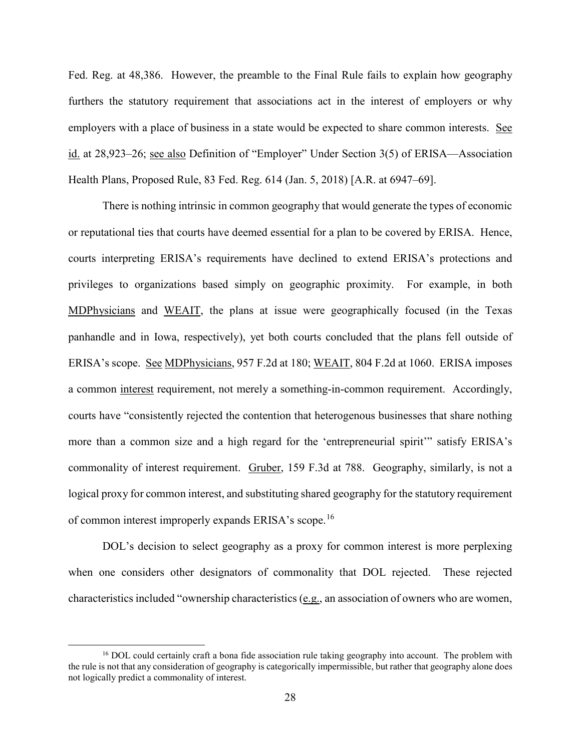Fed. Reg. at 48,386. However, the preamble to the Final Rule fails to explain how geography furthers the statutory requirement that associations act in the interest of employers or why employers with a place of business in a state would be expected to share common interests. See id. at 28,923–26; see also Definition of "Employer" Under Section 3(5) of ERISA—Association Health Plans, Proposed Rule, 83 Fed. Reg. 614 (Jan. 5, 2018) [A.R. at 6947–69].

There is nothing intrinsic in common geography that would generate the types of economic or reputational ties that courts have deemed essential for a plan to be covered by ERISA. Hence, courts interpreting ERISA's requirements have declined to extend ERISA's protections and privileges to organizations based simply on geographic proximity. For example, in both MDPhysicians and WEAIT, the plans at issue were geographically focused (in the Texas panhandle and in Iowa, respectively), yet both courts concluded that the plans fell outside of ERISA's scope. See MDPhysicians, 957 F.2d at 180; WEAIT, 804 F.2d at 1060. ERISA imposes a common interest requirement, not merely a something-in-common requirement. Accordingly, courts have "consistently rejected the contention that heterogenous businesses that share nothing more than a common size and a high regard for the 'entrepreneurial spirit'" satisfy ERISA's commonality of interest requirement. Gruber, 159 F.3d at 788. Geography, similarly, is not a logical proxy for common interest, and substituting shared geography for the statutory requirement of common interest improperly expands ERISA's scope.[16](#page-27-0)

DOL's decision to select geography as a proxy for common interest is more perplexing when one considers other designators of commonality that DOL rejected. These rejected characteristics included "ownership characteristics ( $e.g.,$  an association of owners who are women,

<span id="page-27-0"></span><sup>&</sup>lt;sup>16</sup> DOL could certainly craft a bona fide association rule taking geography into account. The problem with the rule is not that any consideration of geography is categorically impermissible, but rather that geography alone does not logically predict a commonality of interest.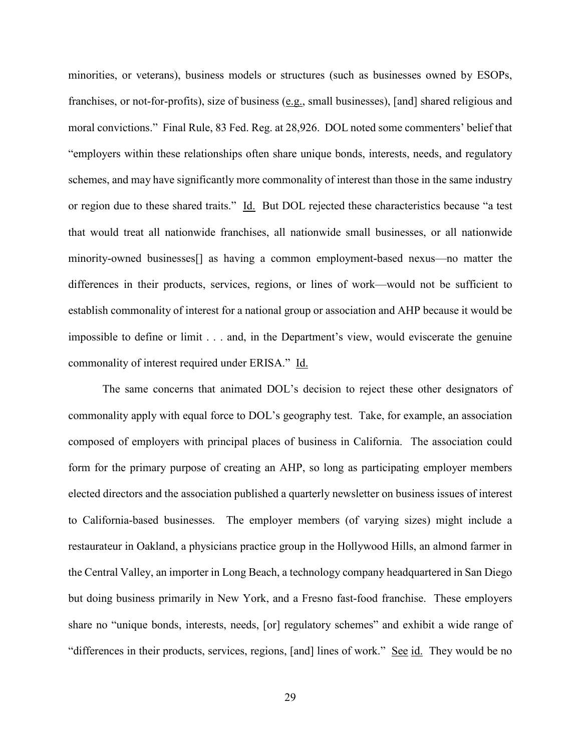minorities, or veterans), business models or structures (such as businesses owned by ESOPs, franchises, or not-for-profits), size of business (e.g., small businesses), [and] shared religious and moral convictions." Final Rule, 83 Fed. Reg. at 28,926. DOL noted some commenters' belief that "employers within these relationships often share unique bonds, interests, needs, and regulatory schemes, and may have significantly more commonality of interest than those in the same industry or region due to these shared traits." Id. But DOL rejected these characteristics because "a test that would treat all nationwide franchises, all nationwide small businesses, or all nationwide minority-owned businesses[] as having a common employment-based nexus—no matter the differences in their products, services, regions, or lines of work—would not be sufficient to establish commonality of interest for a national group or association and AHP because it would be impossible to define or limit . . . and, in the Department's view, would eviscerate the genuine commonality of interest required under ERISA." Id.

The same concerns that animated DOL's decision to reject these other designators of commonality apply with equal force to DOL's geography test. Take, for example, an association composed of employers with principal places of business in California. The association could form for the primary purpose of creating an AHP, so long as participating employer members elected directors and the association published a quarterly newsletter on business issues of interest to California-based businesses. The employer members (of varying sizes) might include a restaurateur in Oakland, a physicians practice group in the Hollywood Hills, an almond farmer in the Central Valley, an importer in Long Beach, a technology company headquartered in San Diego but doing business primarily in New York, and a Fresno fast-food franchise. These employers share no "unique bonds, interests, needs, [or] regulatory schemes" and exhibit a wide range of "differences in their products, services, regions, [and] lines of work." See id. They would be no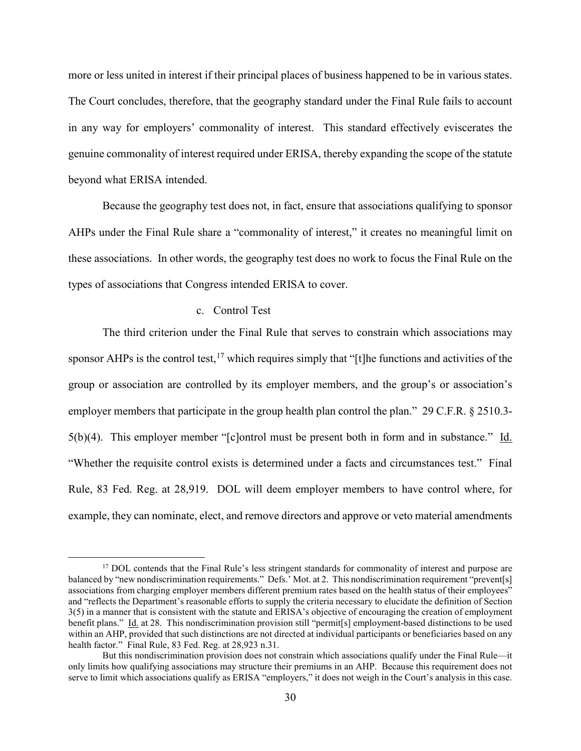more or less united in interest if their principal places of business happened to be in various states. The Court concludes, therefore, that the geography standard under the Final Rule fails to account in any way for employers' commonality of interest. This standard effectively eviscerates the genuine commonality of interest required under ERISA, thereby expanding the scope of the statute beyond what ERISA intended.

Because the geography test does not, in fact, ensure that associations qualifying to sponsor AHPs under the Final Rule share a "commonality of interest," it creates no meaningful limit on these associations. In other words, the geography test does no work to focus the Final Rule on the types of associations that Congress intended ERISA to cover.

#### c. Control Test

The third criterion under the Final Rule that serves to constrain which associations may sponsor AHPs is the control test,<sup>[17](#page-29-0)</sup> which requires simply that "[t]he functions and activities of the group or association are controlled by its employer members, and the group's or association's employer members that participate in the group health plan control the plan." 29 C.F.R. § 2510.3-5(b)(4). This employer member "[c]ontrol must be present both in form and in substance." Id. "Whether the requisite control exists is determined under a facts and circumstances test." Final Rule, 83 Fed. Reg. at 28,919. DOL will deem employer members to have control where, for example, they can nominate, elect, and remove directors and approve or veto material amendments

<span id="page-29-0"></span><sup>&</sup>lt;sup>17</sup> DOL contends that the Final Rule's less stringent standards for commonality of interest and purpose are balanced by "new nondiscrimination requirements." Defs.' Mot. at 2. This nondiscrimination requirement "prevent[s] associations from charging employer members different premium rates based on the health status of their employees" and "reflects the Department's reasonable efforts to supply the criteria necessary to elucidate the definition of Section 3(5) in a manner that is consistent with the statute and ERISA's objective of encouraging the creation of employment benefit plans." Id. at 28. This nondiscrimination provision still "permit[s] employment-based distinctions to be used within an AHP, provided that such distinctions are not directed at individual participants or beneficiaries based on any health factor." Final Rule, 83 Fed. Reg. at 28,923 n.31.

But this nondiscrimination provision does not constrain which associations qualify under the Final Rule—it only limits how qualifying associations may structure their premiums in an AHP. Because this requirement does not serve to limit which associations qualify as ERISA "employers," it does not weigh in the Court's analysis in this case.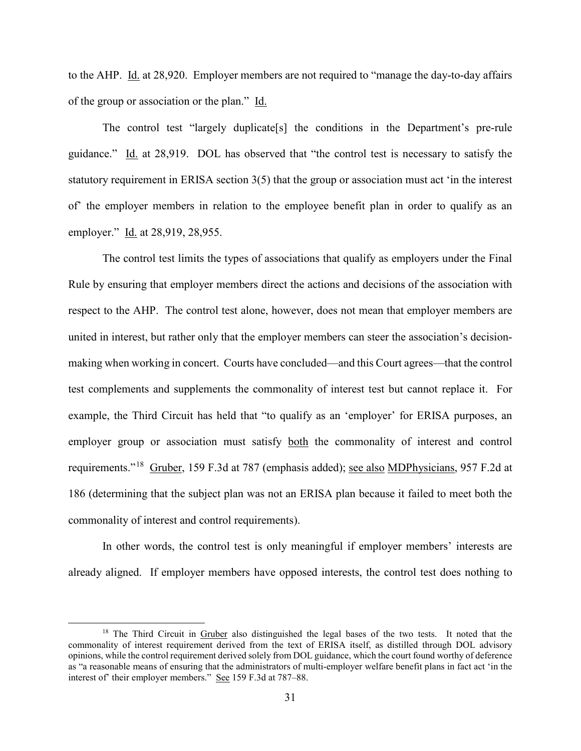to the AHP. Id. at 28,920. Employer members are not required to "manage the day-to-day affairs of the group or association or the plan." Id.

The control test "largely duplicate[s] the conditions in the Department's pre-rule guidance." Id. at 28,919. DOL has observed that "the control test is necessary to satisfy the statutory requirement in ERISA section 3(5) that the group or association must act 'in the interest of' the employer members in relation to the employee benefit plan in order to qualify as an employer." Id. at 28,919, 28,955.

The control test limits the types of associations that qualify as employers under the Final Rule by ensuring that employer members direct the actions and decisions of the association with respect to the AHP. The control test alone, however, does not mean that employer members are united in interest, but rather only that the employer members can steer the association's decisionmaking when working in concert. Courts have concluded—and this Court agrees—that the control test complements and supplements the commonality of interest test but cannot replace it. For example, the Third Circuit has held that "to qualify as an 'employer' for ERISA purposes, an employer group or association must satisfy both the commonality of interest and control requirements."<sup>18</sup> Gruber, 159 F.3d at 787 (emphasis added); <u>see also MDPhysicians</u>, 957 F.2d at 186 (determining that the subject plan was not an ERISA plan because it failed to meet both the commonality of interest and control requirements).

In other words, the control test is only meaningful if employer members' interests are already aligned. If employer members have opposed interests, the control test does nothing to

<span id="page-30-0"></span><sup>&</sup>lt;sup>18</sup> The Third Circuit in Gruber also distinguished the legal bases of the two tests. It noted that the commonality of interest requirement derived from the text of ERISA itself, as distilled through DOL advisory opinions, while the control requirement derived solely from DOL guidance, which the court found worthy of deference as "a reasonable means of ensuring that the administrators of multi-employer welfare benefit plans in fact act 'in the interest of' their employer members." See 159 F.3d at 787–88.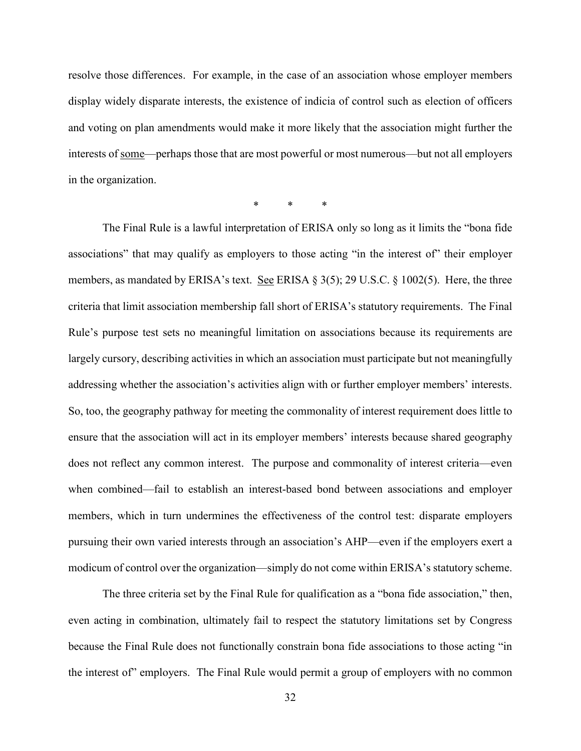resolve those differences. For example, in the case of an association whose employer members display widely disparate interests, the existence of indicia of control such as election of officers and voting on plan amendments would make it more likely that the association might further the interests of some—perhaps those that are most powerful or most numerous—but not all employers in the organization.

\* \* \*

The Final Rule is a lawful interpretation of ERISA only so long as it limits the "bona fide associations" that may qualify as employers to those acting "in the interest of" their employer members, as mandated by ERISA's text. See ERISA  $\S 3(5)$ ; 29 U.S.C.  $\S 1002(5)$ . Here, the three criteria that limit association membership fall short of ERISA's statutory requirements. The Final Rule's purpose test sets no meaningful limitation on associations because its requirements are largely cursory, describing activities in which an association must participate but not meaningfully addressing whether the association's activities align with or further employer members' interests. So, too, the geography pathway for meeting the commonality of interest requirement does little to ensure that the association will act in its employer members' interests because shared geography does not reflect any common interest. The purpose and commonality of interest criteria—even when combined—fail to establish an interest-based bond between associations and employer members, which in turn undermines the effectiveness of the control test: disparate employers pursuing their own varied interests through an association's AHP—even if the employers exert a modicum of control over the organization—simply do not come within ERISA's statutory scheme.

The three criteria set by the Final Rule for qualification as a "bona fide association," then, even acting in combination, ultimately fail to respect the statutory limitations set by Congress because the Final Rule does not functionally constrain bona fide associations to those acting "in the interest of" employers. The Final Rule would permit a group of employers with no common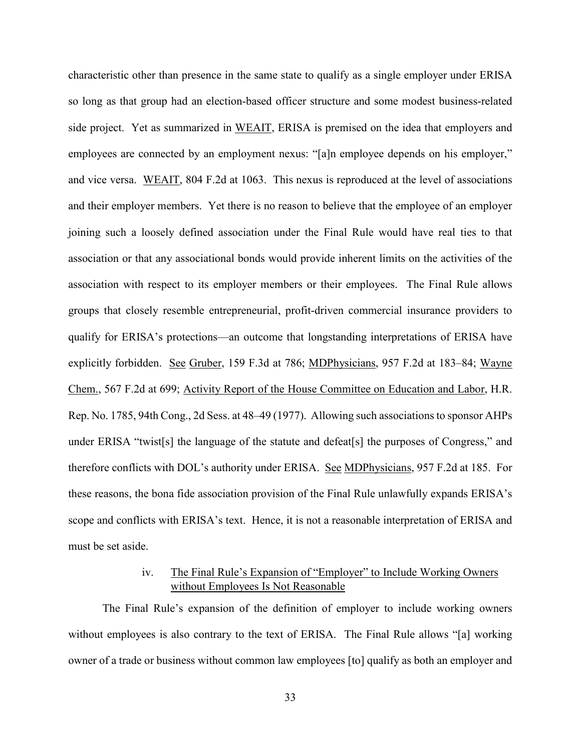characteristic other than presence in the same state to qualify as a single employer under ERISA so long as that group had an election-based officer structure and some modest business-related side project. Yet as summarized in WEAIT, ERISA is premised on the idea that employers and employees are connected by an employment nexus: "[a]n employee depends on his employer," and vice versa. WEAIT, 804 F.2d at 1063. This nexus is reproduced at the level of associations and their employer members. Yet there is no reason to believe that the employee of an employer joining such a loosely defined association under the Final Rule would have real ties to that association or that any associational bonds would provide inherent limits on the activities of the association with respect to its employer members or their employees. The Final Rule allows groups that closely resemble entrepreneurial, profit-driven commercial insurance providers to qualify for ERISA's protections—an outcome that longstanding interpretations of ERISA have explicitly forbidden. See Gruber, 159 F.3d at 786; MDPhysicians, 957 F.2d at 183–84; Wayne Chem., 567 F.2d at 699; Activity Report of the House Committee on Education and Labor, H.R. Rep. No. 1785, 94th Cong., 2d Sess. at 48–49 (1977). Allowing such associations to sponsor AHPs under ERISA "twist[s] the language of the statute and defeat[s] the purposes of Congress," and therefore conflicts with DOL's authority under ERISA. See MDPhysicians, 957 F.2d at 185. For these reasons, the bona fide association provision of the Final Rule unlawfully expands ERISA's scope and conflicts with ERISA's text. Hence, it is not a reasonable interpretation of ERISA and must be set aside.

## iv. The Final Rule's Expansion of "Employer" to Include Working Owners without Employees Is Not Reasonable

The Final Rule's expansion of the definition of employer to include working owners without employees is also contrary to the text of ERISA. The Final Rule allows "[a] working owner of a trade or business without common law employees [to] qualify as both an employer and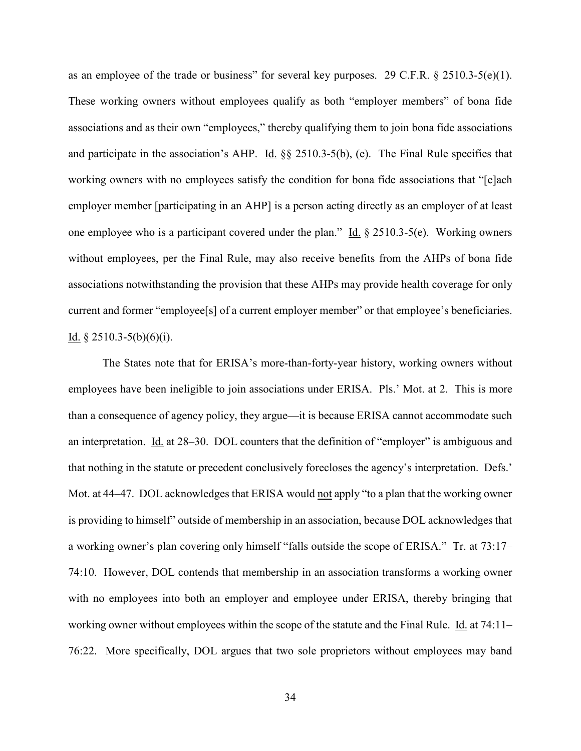as an employee of the trade or business" for several key purposes. 29 C.F.R. § 2510.3-5(e)(1). These working owners without employees qualify as both "employer members" of bona fide associations and as their own "employees," thereby qualifying them to join bona fide associations and participate in the association's AHP. Id. §§ 2510.3-5(b), (e). The Final Rule specifies that working owners with no employees satisfy the condition for bona fide associations that "[e]ach employer member [participating in an AHP] is a person acting directly as an employer of at least one employee who is a participant covered under the plan." Id.  $\S 2510.3-5(e)$ . Working owners without employees, per the Final Rule, may also receive benefits from the AHPs of bona fide associations notwithstanding the provision that these AHPs may provide health coverage for only current and former "employee[s] of a current employer member" or that employee's beneficiaries. Id.  $§$  2510.3-5(b)(6)(i).

The States note that for ERISA's more-than-forty-year history, working owners without employees have been ineligible to join associations under ERISA. Pls.' Mot. at 2. This is more than a consequence of agency policy, they argue—it is because ERISA cannot accommodate such an interpretation. Id. at 28–30. DOL counters that the definition of "employer" is ambiguous and that nothing in the statute or precedent conclusively forecloses the agency's interpretation. Defs.' Mot. at 44–47. DOL acknowledges that ERISA would not apply "to a plan that the working owner is providing to himself" outside of membership in an association, because DOL acknowledges that a working owner's plan covering only himself "falls outside the scope of ERISA." Tr. at 73:17– 74:10. However, DOL contends that membership in an association transforms a working owner with no employees into both an employer and employee under ERISA, thereby bringing that working owner without employees within the scope of the statute and the Final Rule. Id. at 74:11– 76:22. More specifically, DOL argues that two sole proprietors without employees may band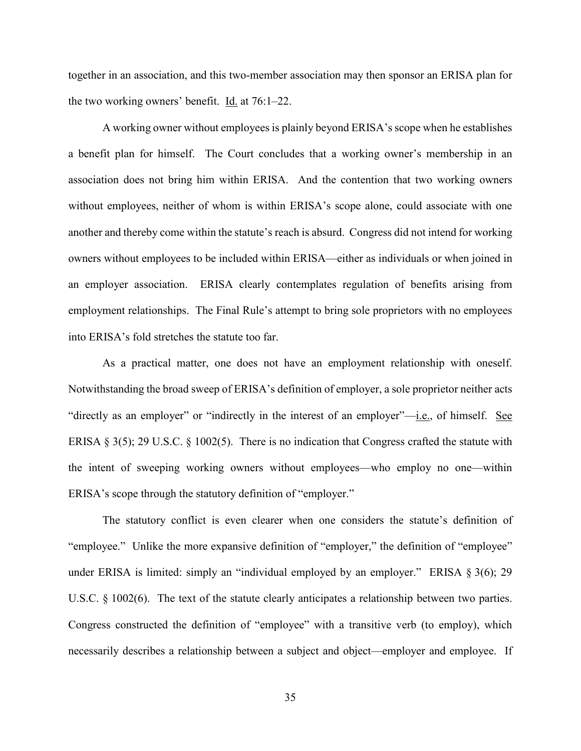together in an association, and this two-member association may then sponsor an ERISA plan for the two working owners' benefit. Id. at 76:1–22.

A working owner without employees is plainly beyond ERISA's scope when he establishes a benefit plan for himself. The Court concludes that a working owner's membership in an association does not bring him within ERISA. And the contention that two working owners without employees, neither of whom is within ERISA's scope alone, could associate with one another and thereby come within the statute's reach is absurd. Congress did not intend for working owners without employees to be included within ERISA—either as individuals or when joined in an employer association. ERISA clearly contemplates regulation of benefits arising from employment relationships. The Final Rule's attempt to bring sole proprietors with no employees into ERISA's fold stretches the statute too far.

As a practical matter, one does not have an employment relationship with oneself. Notwithstanding the broad sweep of ERISA's definition of employer, a sole proprietor neither acts "directly as an employer" or "indirectly in the interest of an employer"-i.e., of himself. See ERISA § 3(5); 29 U.S.C. § 1002(5). There is no indication that Congress crafted the statute with the intent of sweeping working owners without employees—who employ no one—within ERISA's scope through the statutory definition of "employer."

The statutory conflict is even clearer when one considers the statute's definition of "employee." Unlike the more expansive definition of "employer," the definition of "employee" under ERISA is limited: simply an "individual employed by an employer." ERISA § 3(6); 29 U.S.C. § 1002(6). The text of the statute clearly anticipates a relationship between two parties. Congress constructed the definition of "employee" with a transitive verb (to employ), which necessarily describes a relationship between a subject and object—employer and employee. If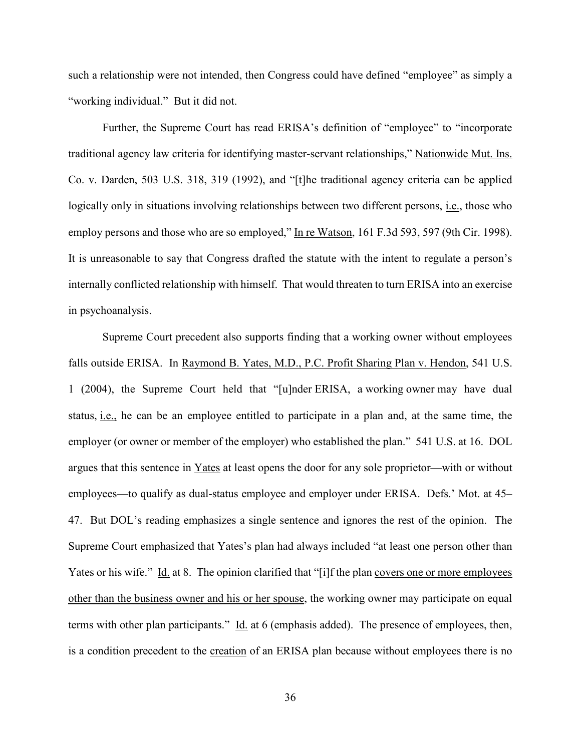such a relationship were not intended, then Congress could have defined "employee" as simply a "working individual." But it did not.

Further, the Supreme Court has read ERISA's definition of "employee" to "incorporate traditional agency law criteria for identifying master-servant relationships," Nationwide Mut. Ins. Co. v. Darden, 503 U.S. 318, 319 (1992), and "[t]he traditional agency criteria can be applied logically only in situations involving relationships between two different persons, i.e., those who employ persons and those who are so employed," In re Watson, 161 F.3d 593, 597 (9th Cir. 1998). It is unreasonable to say that Congress drafted the statute with the intent to regulate a person's internally conflicted relationship with himself. That would threaten to turn ERISA into an exercise in psychoanalysis.

Supreme Court precedent also supports finding that a working owner without employees falls outside ERISA. In Raymond B. Yates, M.D., P.C. Profit Sharing Plan v. Hendon, 541 U.S. 1 (2004), the Supreme Court held that "[u]nder ERISA, a working owner may have dual status, i.e., he can be an employee entitled to participate in a plan and, at the same time, the employer (or owner or member of the employer) who established the plan." 541 U.S. at 16. DOL argues that this sentence in Yates at least opens the door for any sole proprietor—with or without employees—to qualify as dual-status employee and employer under ERISA. Defs.' Mot. at 45– 47. But DOL's reading emphasizes a single sentence and ignores the rest of the opinion. The Supreme Court emphasized that Yates's plan had always included "at least one person other than Yates or his wife." Id. at 8. The opinion clarified that "[i]f the plan covers one or more employees other than the business owner and his or her spouse, the working owner may participate on equal terms with other plan participants." Id. at 6 (emphasis added). The presence of employees, then, is a condition precedent to the creation of an ERISA plan because without employees there is no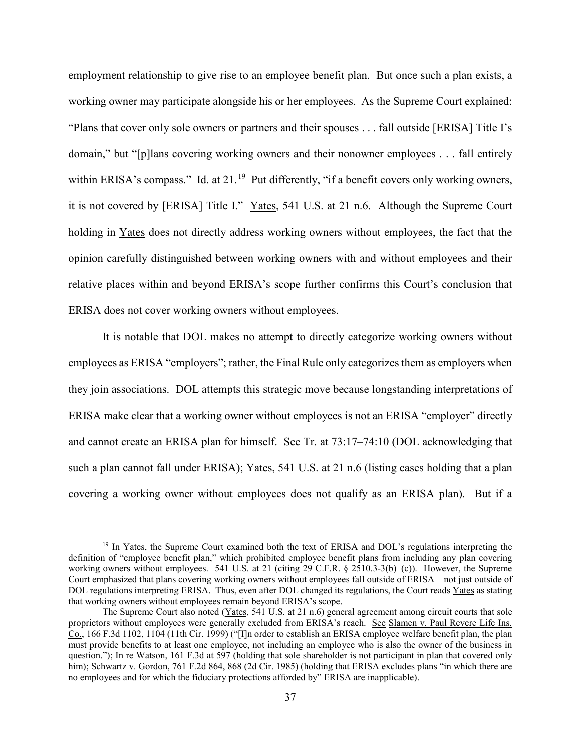employment relationship to give rise to an employee benefit plan. But once such a plan exists, a working owner may participate alongside his or her employees. As the Supreme Court explained: "Plans that cover only sole owners or partners and their spouses . . . fall outside [ERISA] Title I's domain," but "[p]lans covering working owners and their nonowner employees . . . fall entirely within ERISA's compass." Id. at  $21<sup>19</sup>$  Put differently, "if a benefit covers only working owners, it is not covered by [ERISA] Title I." Yates, 541 U.S. at 21 n.6. Although the Supreme Court holding in Yates does not directly address working owners without employees, the fact that the opinion carefully distinguished between working owners with and without employees and their relative places within and beyond ERISA's scope further confirms this Court's conclusion that ERISA does not cover working owners without employees.

It is notable that DOL makes no attempt to directly categorize working owners without employees as ERISA "employers"; rather, the Final Rule only categorizes them as employers when they join associations. DOL attempts this strategic move because longstanding interpretations of ERISA make clear that a working owner without employees is not an ERISA "employer" directly and cannot create an ERISA plan for himself. See Tr. at 73:17–74:10 (DOL acknowledging that such a plan cannot fall under ERISA); Yates, 541 U.S. at 21 n.6 (listing cases holding that a plan covering a working owner without employees does not qualify as an ERISA plan). But if a

<span id="page-36-0"></span><sup>&</sup>lt;sup>19</sup> In Yates, the Supreme Court examined both the text of ERISA and DOL's regulations interpreting the definition of "employee benefit plan," which prohibited employee benefit plans from including any plan covering working owners without employees. 541 U.S. at 21 (citing 29 C.F.R. § 2510.3-3(b)–(c)). However, the Supreme Court emphasized that plans covering working owners without employees fall outside of ERISA—not just outside of DOL regulations interpreting ERISA. Thus, even after DOL changed its regulations, the Court reads Yates as stating that working owners without employees remain beyond ERISA's scope.

The Supreme Court also noted (Yates, 541 U.S. at 21 n.6) general agreement among circuit courts that sole proprietors without employees were generally excluded from ERISA's reach. See Slamen v. Paul Revere Life Ins. Co., 166 F.3d 1102, 1104 (11th Cir. 1999) ("[I]n order to establish an ERISA employee welfare benefit plan, the plan must provide benefits to at least one employee, not including an employee who is also the owner of the business in question."); In re Watson, 161 F.3d at 597 (holding that sole shareholder is not participant in plan that covered only him); Schwartz v. Gordon, 761 F.2d 864, 868 (2d Cir. 1985) (holding that ERISA excludes plans "in which there are no employees and for which the fiduciary protections afforded by" ERISA are inapplicable).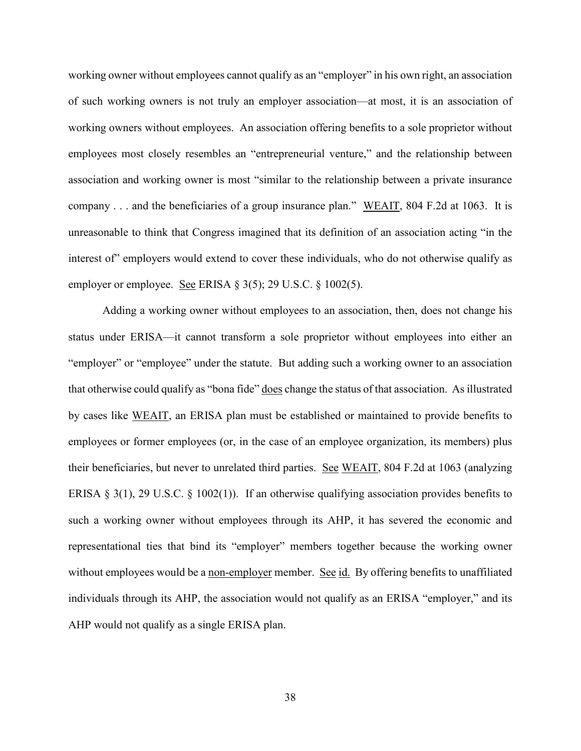working owner without employees cannot qualify as an "employer" in his own right, an association of such working owners is not truly an employer association—at most, it is an association of working owners without employees. An association offering benefits to a sole proprietor without employees most closely resembles an "entrepreneurial venture," and the relationship between association and working owner is most "similar to the relationship between a private insurance company . . . and the beneficiaries of a group insurance plan." WEAIT, 804 F.2d at 1063. It is unreasonable to think that Congress imagined that its definition of an association acting "in the interest of" employers would extend to cover these individuals, who do not otherwise qualify as employer or employee. See ERISA § 3(5); 29 U.S.C. § 1002(5).

Adding a working owner without employees to an association, then, does not change his status under ERISA—it cannot transform a sole proprietor without employees into either an "employer" or "employee" under the statute. But adding such a working owner to an association that otherwise could qualify as "bona fide" does change the status of that association. As illustrated by cases like WEAIT, an ERISA plan must be established or maintained to provide benefits to employees or former employees (or, in the case of an employee organization, its members) plus their beneficiaries, but never to unrelated third parties. See WEAIT, 804 F.2d at 1063 (analyzing ERISA  $\S 3(1)$ , 29 U.S.C.  $\S 1002(1)$ ). If an otherwise qualifying association provides benefits to such a working owner without employees through its AHP, it has severed the economic and representational ties that bind its "employer" members together because the working owner without employees would be a non-employer member. See id. By offering benefits to unaffiliated individuals through its AHP, the association would not qualify as an ERISA "employer," and its AHP would not qualify as a single ERISA plan.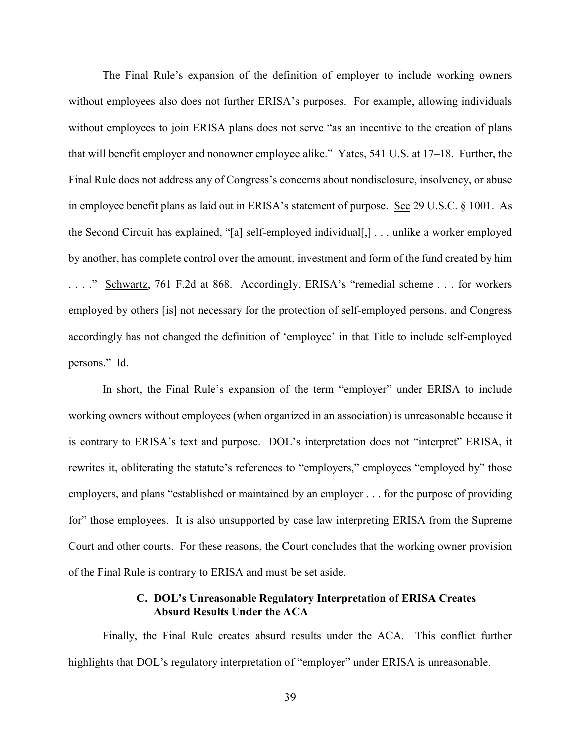The Final Rule's expansion of the definition of employer to include working owners without employees also does not further ERISA's purposes. For example, allowing individuals without employees to join ERISA plans does not serve "as an incentive to the creation of plans that will benefit employer and nonowner employee alike." Yates, 541 U.S. at 17–18. Further, the Final Rule does not address any of Congress's concerns about nondisclosure, insolvency, or abuse in employee benefit plans as laid out in ERISA's statement of purpose. See 29 U.S.C. § 1001. As the Second Circuit has explained, "[a] self-employed individual[,] . . . unlike a worker employed by another, has complete control over the amount, investment and form of the fund created by him . . . ." Schwartz, 761 F.2d at 868. Accordingly, ERISA's "remedial scheme . . . for workers employed by others [is] not necessary for the protection of self-employed persons, and Congress accordingly has not changed the definition of 'employee' in that Title to include self-employed persons." Id.

In short, the Final Rule's expansion of the term "employer" under ERISA to include working owners without employees (when organized in an association) is unreasonable because it is contrary to ERISA's text and purpose. DOL's interpretation does not "interpret" ERISA, it rewrites it, obliterating the statute's references to "employers," employees "employed by" those employers, and plans "established or maintained by an employer . . . for the purpose of providing for" those employees. It is also unsupported by case law interpreting ERISA from the Supreme Court and other courts. For these reasons, the Court concludes that the working owner provision of the Final Rule is contrary to ERISA and must be set aside.

### **C. DOL's Unreasonable Regulatory Interpretation of ERISA Creates Absurd Results Under the ACA**

Finally, the Final Rule creates absurd results under the ACA. This conflict further highlights that DOL's regulatory interpretation of "employer" under ERISA is unreasonable.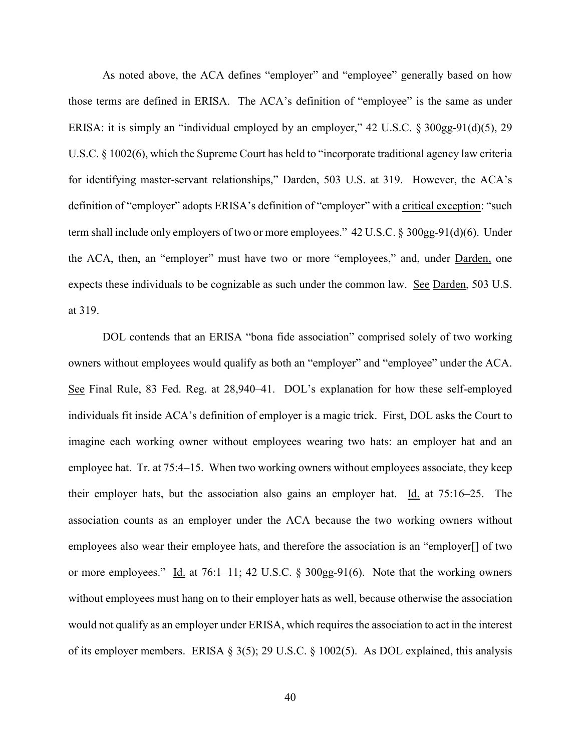As noted above, the ACA defines "employer" and "employee" generally based on how those terms are defined in ERISA. The ACA's definition of "employee" is the same as under ERISA: it is simply an "individual employed by an employer," 42 U.S.C. § 300gg-91(d)(5), 29 U.S.C. § 1002(6), which the Supreme Court has held to "incorporate traditional agency law criteria for identifying master-servant relationships," Darden, 503 U.S. at 319. However, the ACA's definition of "employer" adopts ERISA's definition of "employer" with a critical exception: "such term shall include only employers of two or more employees." 42 U.S.C. § 300gg-91(d)(6). Under the ACA, then, an "employer" must have two or more "employees," and, under Darden, one expects these individuals to be cognizable as such under the common law. See Darden, 503 U.S. at 319.

DOL contends that an ERISA "bona fide association" comprised solely of two working owners without employees would qualify as both an "employer" and "employee" under the ACA. See Final Rule, 83 Fed. Reg. at 28,940–41. DOL's explanation for how these self-employed individuals fit inside ACA's definition of employer is a magic trick. First, DOL asks the Court to imagine each working owner without employees wearing two hats: an employer hat and an employee hat. Tr. at 75:4–15. When two working owners without employees associate, they keep their employer hats, but the association also gains an employer hat. Id. at  $75:16-25$ . The association counts as an employer under the ACA because the two working owners without employees also wear their employee hats, and therefore the association is an "employer[] of two or more employees." Id. at 76:1–11; 42 U.S.C.  $\S$  300gg-91(6). Note that the working owners without employees must hang on to their employer hats as well, because otherwise the association would not qualify as an employer under ERISA, which requires the association to act in the interest of its employer members. ERISA § 3(5); 29 U.S.C. § 1002(5). As DOL explained, this analysis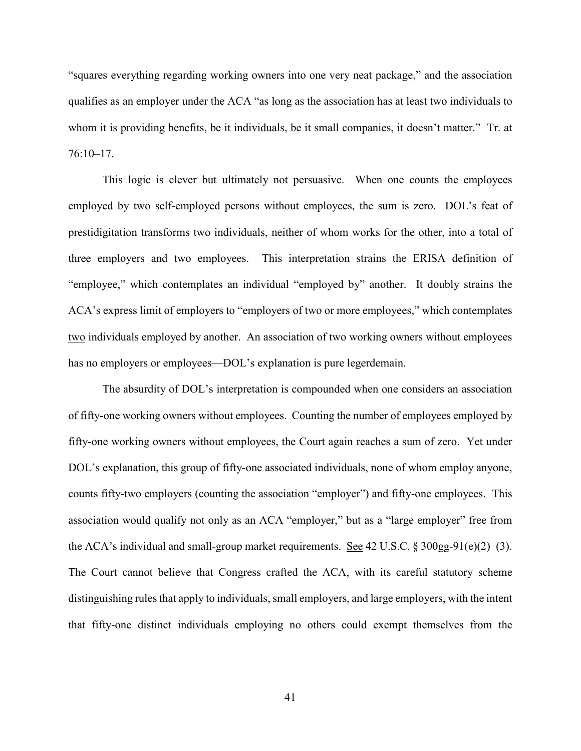"squares everything regarding working owners into one very neat package," and the association qualifies as an employer under the ACA "as long as the association has at least two individuals to whom it is providing benefits, be it individuals, be it small companies, it doesn't matter." Tr. at 76:10–17.

This logic is clever but ultimately not persuasive. When one counts the employees employed by two self-employed persons without employees, the sum is zero. DOL's feat of prestidigitation transforms two individuals, neither of whom works for the other, into a total of three employers and two employees. This interpretation strains the ERISA definition of "employee," which contemplates an individual "employed by" another. It doubly strains the ACA's express limit of employers to "employers of two or more employees," which contemplates two individuals employed by another. An association of two working owners without employees has no employers or employees—DOL's explanation is pure legerdemain.

The absurdity of DOL's interpretation is compounded when one considers an association of fifty-one working owners without employees. Counting the number of employees employed by fifty-one working owners without employees, the Court again reaches a sum of zero. Yet under DOL's explanation, this group of fifty-one associated individuals, none of whom employ anyone, counts fifty-two employers (counting the association "employer") and fifty-one employees. This association would qualify not only as an ACA "employer," but as a "large employer" free from the ACA's individual and small-group market requirements. See 42 U.S.C.  $\S 300gg-91(e)(2)-(3)$ . The Court cannot believe that Congress crafted the ACA, with its careful statutory scheme distinguishing rules that apply to individuals, small employers, and large employers, with the intent that fifty-one distinct individuals employing no others could exempt themselves from the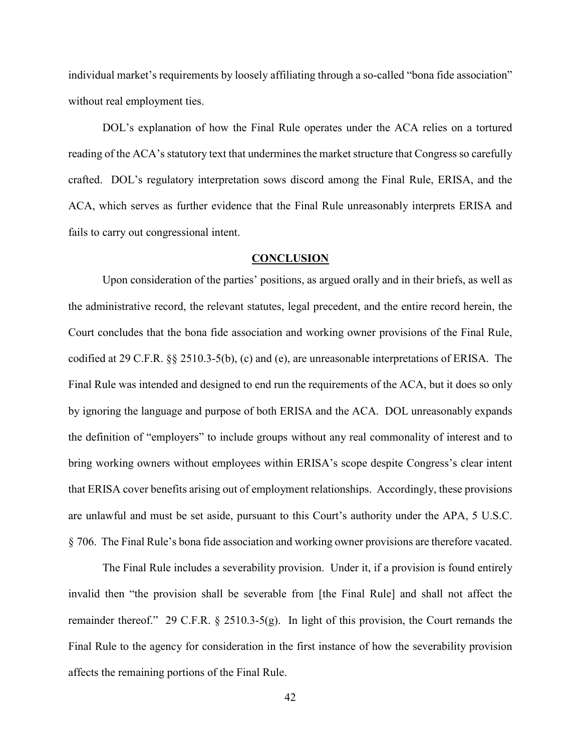individual market's requirements by loosely affiliating through a so-called "bona fide association" without real employment ties.

DOL's explanation of how the Final Rule operates under the ACA relies on a tortured reading of the ACA's statutory text that undermines the market structure that Congress so carefully crafted. DOL's regulatory interpretation sows discord among the Final Rule, ERISA, and the ACA, which serves as further evidence that the Final Rule unreasonably interprets ERISA and fails to carry out congressional intent.

#### **CONCLUSION**

Upon consideration of the parties' positions, as argued orally and in their briefs, as well as the administrative record, the relevant statutes, legal precedent, and the entire record herein, the Court concludes that the bona fide association and working owner provisions of the Final Rule, codified at 29 C.F.R. §§ 2510.3-5(b), (c) and (e), are unreasonable interpretations of ERISA. The Final Rule was intended and designed to end run the requirements of the ACA, but it does so only by ignoring the language and purpose of both ERISA and the ACA. DOL unreasonably expands the definition of "employers" to include groups without any real commonality of interest and to bring working owners without employees within ERISA's scope despite Congress's clear intent that ERISA cover benefits arising out of employment relationships. Accordingly, these provisions are unlawful and must be set aside, pursuant to this Court's authority under the APA, 5 U.S.C. § 706. The Final Rule's bona fide association and working owner provisions are therefore vacated.

The Final Rule includes a severability provision. Under it, if a provision is found entirely invalid then "the provision shall be severable from [the Final Rule] and shall not affect the remainder thereof." 29 C.F.R. § 2510.3-5(g). In light of this provision, the Court remands the Final Rule to the agency for consideration in the first instance of how the severability provision affects the remaining portions of the Final Rule.